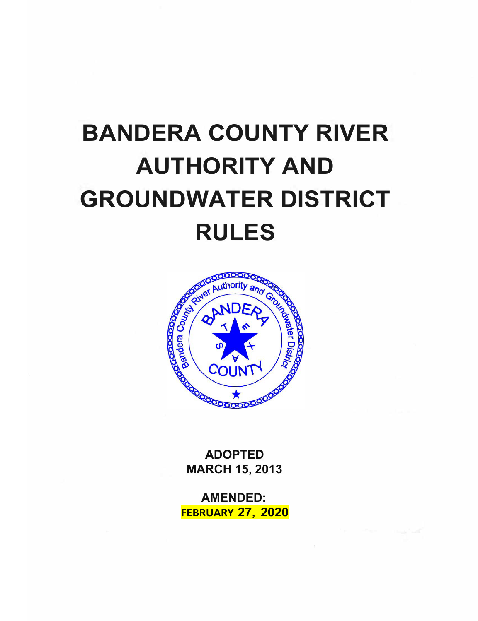# **BANDERA COUNTY RIVER AUTHORITY AND GROUNDWATER DISTRICT RULES**



**ADOPTED MARCH 15, 2013**

**AMENDED: FEBRUARY 27, 2020**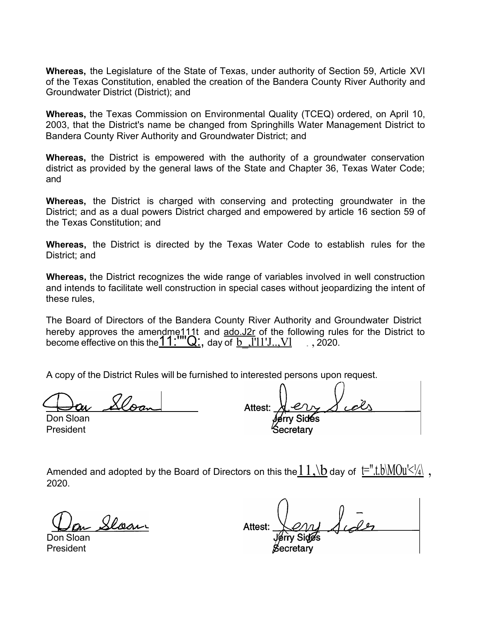**Whereas,** the Legislature of the State of Texas, under authority of Section 59, Article XVI of the Texas Constitution, enabled the creation of the Bandera County River Authority and Groundwater District (District); and

**Whereas,** the Texas Commission on Environmental Quality (TCEQ) ordered, on April 10, 2003, that the District's name be changed from Springhills Water Management District to Bandera County River Authority and Groundwater District; and

**Whereas,** the District is empowered with the authority of a groundwater conservation district as provided by the general laws of the State and Chapter 36, Texas Water Code; and

**Whereas,** the District is charged with conserving and protecting groundwater in the District; and as a dual powers District charged and empowered by article 16 section 59 of the Texas Constitution; and

**Whereas,** the District is directed by the Texas Water Code to establish rules for the District; and

**Whereas,** the District recognizes the wide range of variables involved in well construction and intends to facilitate well construction in special cases without jeopardizing the intent of these rules,

The Board of Directors of the Bandera County River Authority and Groundwater District hereby approves the amendme111t and  $\frac{\partial Q}{\partial x}$  of the following rules for the District to become effective on this the  $11$ :  $\sqrt{Q}$ ; day of b  $\sqrt{Q}$ !  $\sqrt{Q}$ .

A copy of the District Rules will be furnished to interested persons upon request.

Don Sloan President

Attest: Secretarv

Amended and adopted by the Board of Directors on this the  $11$ , \b day of  $t=$ ".t.b\MOu' $\leq 1/4$ \, 2020.

Sloan

Don Sloan President

**Attest**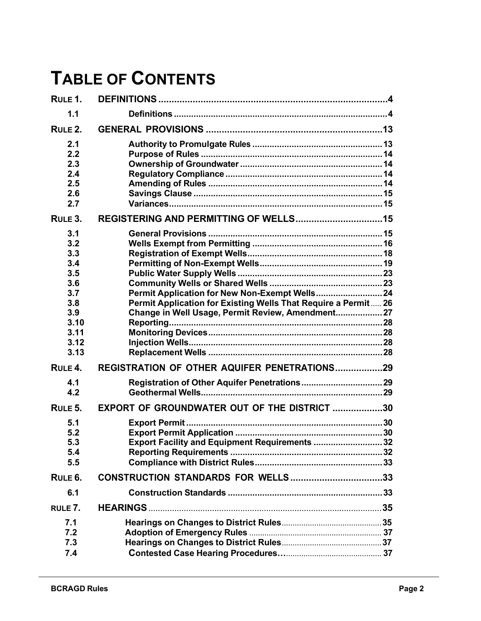# **TABLE OF CONTENTS**

| RULE 1.                                                                                     |                                                                                                                     |  |
|---------------------------------------------------------------------------------------------|---------------------------------------------------------------------------------------------------------------------|--|
| 1.1                                                                                         |                                                                                                                     |  |
| RULE 2.                                                                                     |                                                                                                                     |  |
| 2.1<br>2.2<br>2.3<br>2.4<br>2.5<br>2.6<br>2.7                                               |                                                                                                                     |  |
| RULE 3.                                                                                     |                                                                                                                     |  |
| 3.1<br>3.2<br>3.3<br>3.4<br>3.5<br>3.6<br>3.7<br>3.8<br>3.9<br>3.10<br>3.11<br>3.12<br>3.13 | Permit Application for Existing Wells That Require a Permit 26<br>Change in Well Usage, Permit Review, Amendment 27 |  |
| RULE <sub>4</sub> .                                                                         | REGISTRATION OF OTHER AQUIFER PENETRATIONS29                                                                        |  |
| 4.1<br>4.2                                                                                  |                                                                                                                     |  |
| RULE 5.                                                                                     | EXPORT OF GROUNDWATER OUT OF THE DISTRICT 30                                                                        |  |
| 5.1<br>5.2<br>5.3<br>5.4<br>5.5                                                             | Export Facility and Equipment Requirements  32                                                                      |  |
| RULE <sub>6</sub> .                                                                         |                                                                                                                     |  |
| 6.1                                                                                         |                                                                                                                     |  |
| RULE 7.                                                                                     |                                                                                                                     |  |
| 7.1<br>7.2<br>7.3<br>7.4                                                                    |                                                                                                                     |  |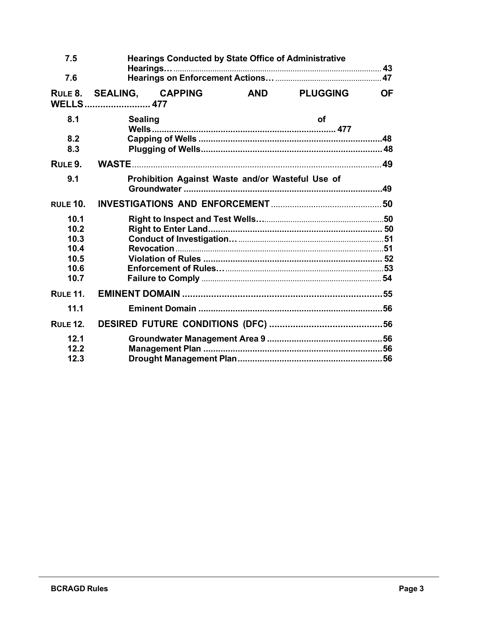| 7.5                                                  |                                             | <b>Hearings Conducted by State Office of Administrative</b> |                 |           |
|------------------------------------------------------|---------------------------------------------|-------------------------------------------------------------|-----------------|-----------|
| 7.6                                                  |                                             |                                                             |                 |           |
| RULE 8.                                              | <b>SEALING, CAPPING</b><br><b>WELLS</b> 477 | <b>AND</b>                                                  | <b>PLUGGING</b> | <b>OF</b> |
| 8.1                                                  | <b>Sealing</b>                              |                                                             | <b>of</b>       |           |
| 8.2<br>8.3                                           |                                             |                                                             |                 |           |
| RULE 9.                                              |                                             |                                                             |                 |           |
| 9.1                                                  |                                             | Prohibition Against Waste and/or Wasteful Use of            |                 |           |
| <b>RULE 10.</b>                                      |                                             |                                                             |                 |           |
| 10.1<br>10.2<br>10.3<br>10.4<br>10.5<br>10.6<br>10.7 |                                             |                                                             |                 |           |
| <b>RULE 11.</b>                                      |                                             |                                                             |                 |           |
| 11.1                                                 |                                             |                                                             |                 |           |
| <b>RULE 12.</b>                                      |                                             |                                                             |                 |           |
| 12.1<br>12.2<br>12.3                                 |                                             |                                                             |                 |           |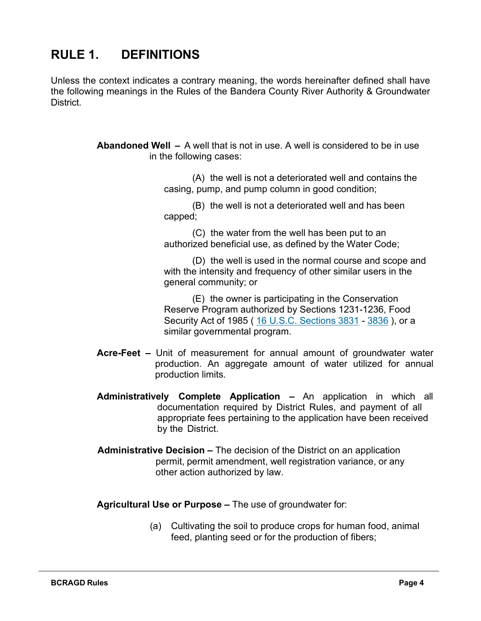# <span id="page-4-0"></span>**RULE 1. DEFINITIONS**

Unless the context indicates a contrary meaning, the words hereinafter defined shall have the following meanings in the Rules of the Bandera County River Authority & Groundwater District.

> **Abandoned Well –** A well that is not in use. A well is considered to be in use in the following cases:

> > (A) the well is not a deteriorated well and contains the casing, pump, and pump column in good condition;

(B) the well is not a deteriorated well and has been capped;

(C) the water from the well has been put to an authorized beneficial use, as defined by the Water Code;

(D) the well is used in the normal course and scope and with the intensity and frequency of other similar users in the general community; or

(E) the owner is participating in the Conservation Reserve Program authorized by Sections 1231-1236, Food Security Act of 1985 (16 U.S.C. [Sections](https://1.next.westlaw.com/Link/Document/FullText?findType=L&originatingContext=document&transitionType=DocumentItem&pubNum=1000546&refType=LQ&originatingDoc=I44c1ce90948611e7ac49932a82f6ab5a&cite=16USCAS3831) 3831 - [3836](https://1.next.westlaw.com/Link/Document/FullText?findType=L&originatingContext=document&transitionType=DocumentItem&pubNum=1000546&refType=LQ&originatingDoc=I44c1ce91948611e7ac49932a82f6ab5a&cite=16USCAS3836)), or a similar governmental program.

- **Acre-Feet –** Unit of measurement for annual amount of groundwater water production. An aggregate amount of water utilized for annual production limits.
- **Administratively Complete Application –** An application in which all documentation required by District Rules, and payment of all appropriate fees pertaining to the application have been received by the District.
- **Administrative Decision –** The decision of the District on an application permit, permit amendment, well registration variance, or any other action authorized by law.

**Agricultural Use or Purpose –** The use of groundwater for:

(a) Cultivating the soil to produce crops for human food, animal feed, planting seed or for the production of fibers;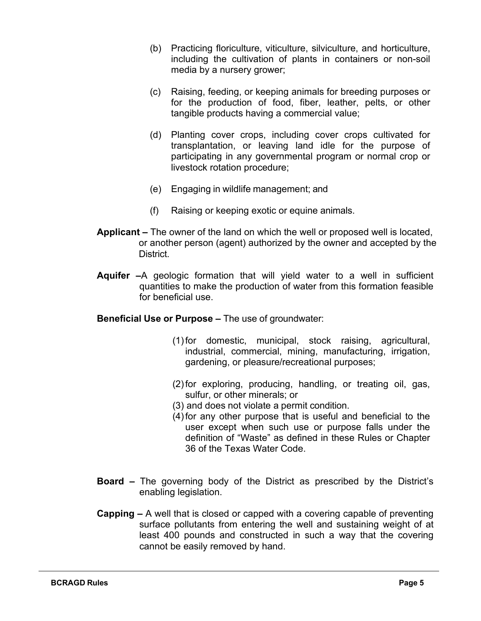- (b) Practicing floriculture, viticulture, silviculture, and horticulture, including the cultivation of plants in containers or non-soil media by a nursery grower;
- (c) Raising, feeding, or keeping animals for breeding purposes or for the production of food, fiber, leather, pelts, or other tangible products having a commercial value;
- (d) Planting cover crops, including cover crops cultivated for transplantation, or leaving land idle for the purpose of participating in any governmental program or normal crop or livestock rotation procedure;
- (e) Engaging in wildlife management; and
- (f) Raising or keeping exotic or equine animals.
- **Applicant** *–* The owner of the land on which the well or proposed well is located, or another person (agent) authorized by the owner and accepted by the District.
- **Aquifer –**A geologic formation that will yield water to a well in sufficient quantities to make the production of water from this formation feasible for beneficial use.
- **Beneficial Use or Purpose –** The use of groundwater:
	- (1)for domestic, municipal, stock raising, agricultural, industrial, commercial, mining, manufacturing, irrigation, gardening, or pleasure/recreational purposes;
	- (2)for exploring, producing, handling, or treating oil, gas, sulfur, or other minerals; or
	- (3) and does not violate a permit condition.
	- (4)for any other purpose that is useful and beneficial to the user except when such use or purpose falls under the definition of "Waste" as defined in these Rules or Chapter 36 of the Texas Water Code.
- **Board –** The governing body of the District as prescribed by the District's enabling legislation.
- **Capping –** A well that is closed or capped with a covering capable of preventing surface pollutants from entering the well and sustaining weight of at least 400 pounds and constructed in such a way that the covering cannot be easily removed by hand.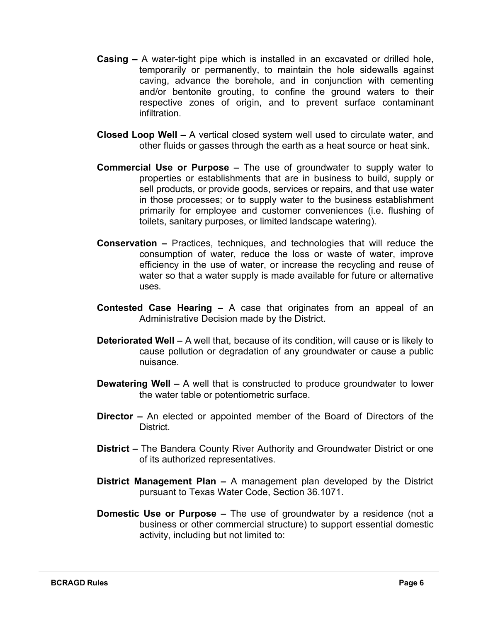- **Casing –** A water-tight pipe which is installed in an excavated or drilled hole, temporarily or permanently, to maintain the hole sidewalls against caving, advance the borehole, and in conjunction with cementing and/or bentonite grouting, to confine the ground waters to their respective zones of origin, and to prevent surface contaminant infiltration.
- **Closed Loop Well –** A vertical closed system well used to circulate water, and other fluids or gasses through the earth as a heat source or heat sink.
- **Commercial Use or Purpose –** The use of groundwater to supply water to properties or establishments that are in business to build, supply or sell products, or provide goods, services or repairs, and that use water in those processes; or to supply water to the business establishment primarily for employee and customer conveniences (i.e. flushing of toilets, sanitary purposes, or limited landscape watering).
- **Conservation –** Practices, techniques, and technologies that will reduce the consumption of water, reduce the loss or waste of water, improve efficiency in the use of water, or increase the recycling and reuse of water so that a water supply is made available for future or alternative uses.
- **Contested Case Hearing –** A case that originates from an appeal of an Administrative Decision made by the District.
- **Deteriorated Well –** A well that, because of its condition, will cause or is likely to cause pollution or degradation of any groundwater or cause a public nuisance.
- **Dewatering Well –** A well that is constructed to produce groundwater to lower the water table or potentiometric surface.
- **Director –** An elected or appointed member of the Board of Directors of the District.
- **District –** The Bandera County River Authority and Groundwater District or one of its authorized representatives.
- **District Management Plan –** A management plan developed by the District pursuant to Texas Water Code, Section 36.1071.
- **Domestic Use or Purpose –** The use of groundwater by a residence (not a business or other commercial structure) to support essential domestic activity, including but not limited to: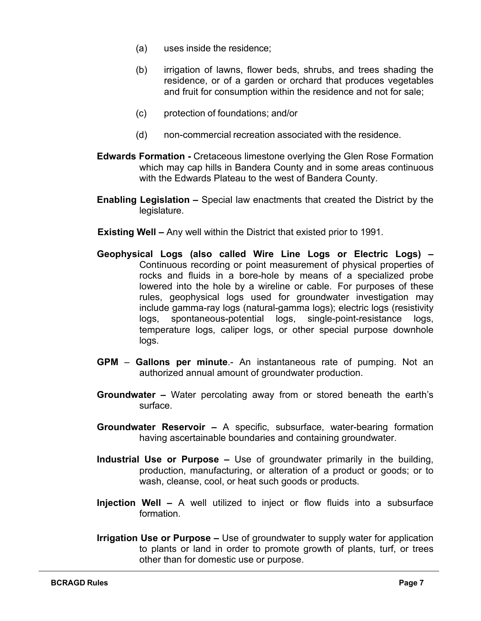- (a) uses inside the residence;
- (b) irrigation of lawns, flower beds, shrubs, and trees shading the residence, or of a garden or orchard that produces vegetables and fruit for consumption within the residence and not for sale;
- (c) protection of foundations; and/or
- (d) non-commercial recreation associated with the residence.
- **Edwards Formation -** Cretaceous limestone overlying the Glen Rose Formation which may cap hills in Bandera County and in some areas continuous with the Edwards Plateau to the west of Bandera County.
- **Enabling Legislation –** Special law enactments that created the District by the legislature.
- **Existing Well –** Any well within the District that existed prior to 1991.
- **Geophysical Logs (also called Wire Line Logs or Electric Logs) –** Continuous recording or point measurement of physical properties of rocks and fluids in a bore-hole by means of a specialized probe lowered into the hole by a wireline or cable. For purposes of these rules, geophysical logs used for groundwater investigation may include gamma-ray logs (natural-gamma logs); electric logs (resistivity logs, spontaneous-potential logs, single-point-resistance logs, temperature logs, caliper logs, or other special purpose downhole logs.
- **GPM Gallons per minute**.- An instantaneous rate of pumping. Not an authorized annual amount of groundwater production.
- **Groundwater –** Water percolating away from or stored beneath the earth's surface.
- **Groundwater Reservoir –** A specific, subsurface, water-bearing formation having ascertainable boundaries and containing groundwater.
- **Industrial Use or Purpose –** Use of groundwater primarily in the building, production, manufacturing, or alteration of a product or goods; or to wash, cleanse, cool, or heat such goods or products.
- **Injection Well –** A well utilized to inject or flow fluids into a subsurface formation.
- **Irrigation Use or Purpose –** Use of groundwater to supply water for application to plants or land in order to promote growth of plants, turf, or trees other than for domestic use or purpose.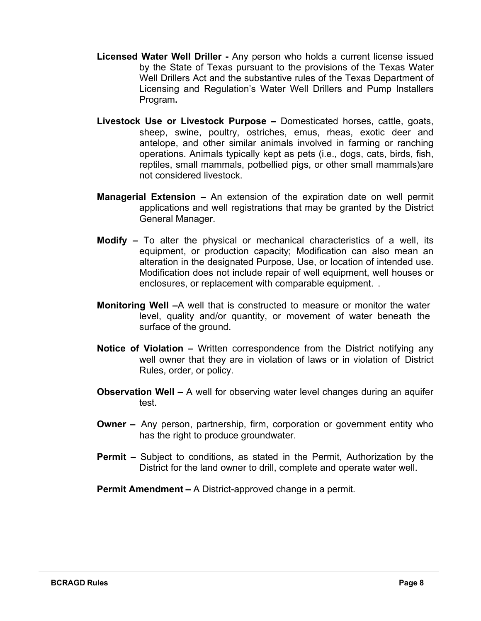- **Licensed Water Well Driller -** Any person who holds a current license issued by the State of Texas pursuant to the provisions of the Texas Water Well Drillers Act and the substantive rules of the Texas Department of Licensing and Regulation's Water Well Drillers and Pump Installers Program**.**
- **Livestock Use or Livestock Purpose –** Domesticated horses, cattle, goats, sheep, swine, poultry, ostriches, emus, rheas, exotic deer and antelope, and other similar animals involved in farming or ranching operations. Animals typically kept as pets (i.e., dogs, cats, birds, fish, reptiles, small mammals, potbellied pigs, or other small mammals)are not considered livestock.
- **Managerial Extension –** An extension of the expiration date on well permit applications and well registrations that may be granted by the District General Manager.
- **Modify –** To alter the physical or mechanical characteristics of a well, its equipment, or production capacity; Modification can also mean an alteration in the designated Purpose, Use, or location of intended use. Modification does not include repair of well equipment, well houses or enclosures, or replacement with comparable equipment. .
- **Monitoring Well –**A well that is constructed to measure or monitor the water level, quality and/or quantity, or movement of water beneath the surface of the ground.
- **Notice of Violation –** Written correspondence from the District notifying any well owner that they are in violation of laws or in violation of District Rules, order, or policy.
- **Observation Well –** A well for observing water level changes during an aquifer test.
- **Owner –** Any person, partnership, firm, corporation or government entity who has the right to produce groundwater.
- **Permit –** Subject to conditions, as stated in the Permit, Authorization by the District for the land owner to drill, complete and operate water well.

**Permit Amendment –** A District-approved change in a permit.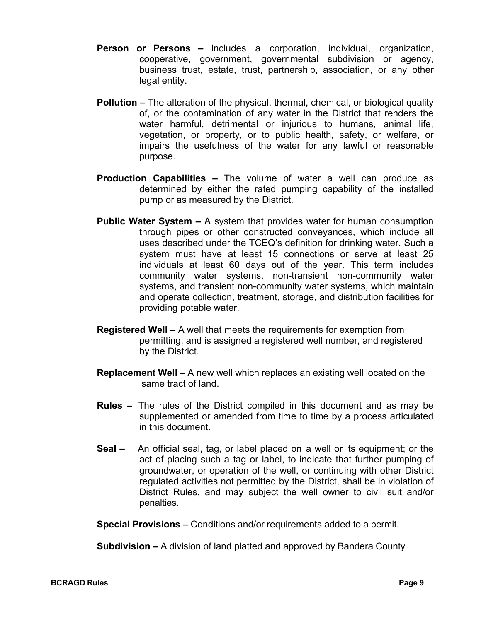- **Person or Persons –** Includes a corporation, individual, organization, cooperative, government, governmental subdivision or agency, business trust, estate, trust, partnership, association, or any other legal entity.
- **Pollution –** The alteration of the physical, thermal, chemical, or biological quality of, or the contamination of any water in the District that renders the water harmful, detrimental or injurious to humans, animal life, vegetation, or property, or to public health, safety, or welfare, or impairs the usefulness of the water for any lawful or reasonable purpose.
- **Production Capabilities –** The volume of water a well can produce as determined by either the rated pumping capability of the installed pump or as measured by the District.
- **Public Water System –** A system that provides water for human consumption through pipes or other constructed conveyances, which include all uses described under the TCEQ's definition for drinking water. Such a system must have at least 15 connections or serve at least 25 individuals at least 60 days out of the year. This term includes community water systems, non-transient non-community water systems, and transient non-community water systems, which maintain and operate collection, treatment, storage, and distribution facilities for providing potable water.
- **Registered Well –** A well that meets the requirements for exemption from permitting, and is assigned a registered well number, and registered by the District.
- **Replacement Well –** A new well which replaces an existing well located on the same tract of land.
- **Rules –** The rules of the District compiled in this document and as may be supplemented or amended from time to time by a process articulated in this document.
- **Seal** An official seal, tag, or label placed on a well or its equipment; or the act of placing such a tag or label, to indicate that further pumping of groundwater, or operation of the well, or continuing with other District regulated activities not permitted by the District, shall be in violation of District Rules, and may subject the well owner to civil suit and/or penalties.

**Special Provisions –** Conditions and/or requirements added to a permit.

**Subdivision –** A division of land platted and approved by Bandera County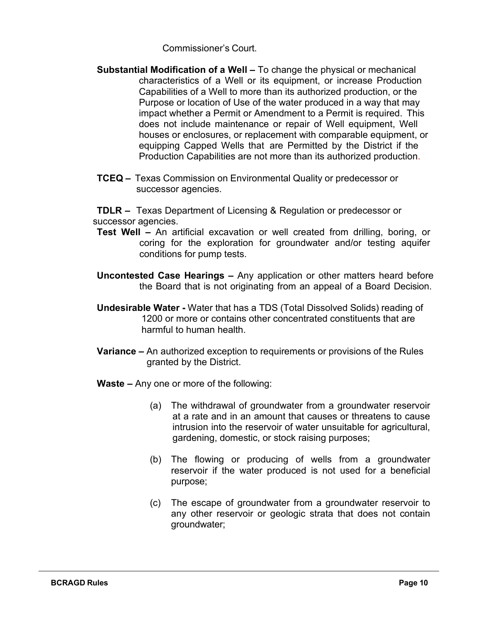Commissioner's Court.

- **Substantial Modification of a Well –** To change the physical or mechanical characteristics of a Well or its equipment, or increase Production Capabilities of a Well to more than its authorized production, or the Purpose or location of Use of the water produced in a way that may impact whether a Permit or Amendment to a Permit is required. This does not include maintenance or repair of Well equipment, Well houses or enclosures, or replacement with comparable equipment, or equipping Capped Wells that are Permitted by the District if the Production Capabilities are not more than its authorized production.
- **TCEQ –** Texas Commission on Environmental Quality or predecessor or successor agencies.

**TDLR –** Texas Department of Licensing & Regulation or predecessor or successor agencies.

- **Test Well –** An artificial excavation or well created from drilling, boring, or coring for the exploration for groundwater and/or testing aquifer conditions for pump tests.
- **Uncontested Case Hearings –** Any application or other matters heard before the Board that is not originating from an appeal of a Board Decision.
- **Undesirable Water -** Water that has a TDS (Total Dissolved Solids) reading of 1200 or more or contains other concentrated constituents that are harmful to human health.
- **Variance –** An authorized exception to requirements or provisions of the Rules granted by the District.
- **Waste –** Any one or more of the following:
	- (a) The withdrawal of groundwater from a groundwater reservoir at a rate and in an amount that causes or threatens to cause intrusion into the reservoir of water unsuitable for agricultural, gardening, domestic, or stock raising purposes;
	- (b) The flowing or producing of wells from a groundwater reservoir if the water produced is not used for a beneficial purpose;
	- (c) The escape of groundwater from a groundwater reservoir to any other reservoir or geologic strata that does not contain groundwater;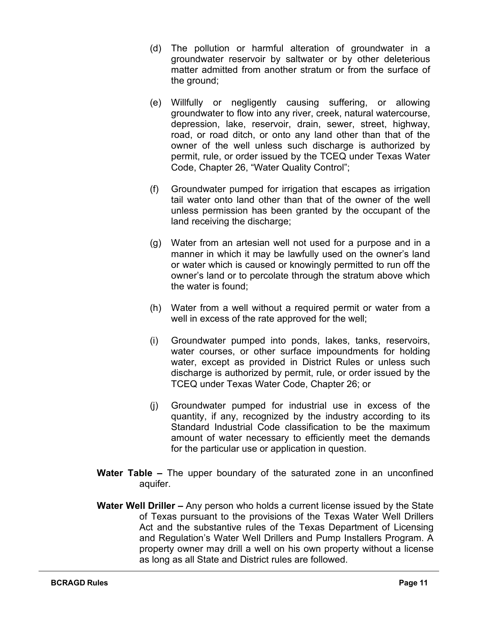- (d) The pollution or harmful alteration of groundwater in a groundwater reservoir by saltwater or by other deleterious matter admitted from another stratum or from the surface of the ground;
- (e) Willfully or negligently causing suffering, or allowing groundwater to flow into any river, creek, natural watercourse, depression, lake, reservoir, drain, sewer, street, highway, road, or road ditch, or onto any land other than that of the owner of the well unless such discharge is authorized by permit, rule, or order issued by the TCEQ under Texas Water Code, Chapter 26, "Water Quality Control";
- (f) Groundwater pumped for irrigation that escapes as irrigation tail water onto land other than that of the owner of the well unless permission has been granted by the occupant of the land receiving the discharge;
- (g) Water from an artesian well not used for a purpose and in a manner in which it may be lawfully used on the owner's land or water which is caused or knowingly permitted to run off the owner's land or to percolate through the stratum above which the water is found;
- (h) Water from a well without a required permit or water from a well in excess of the rate approved for the well;
- (i) Groundwater pumped into ponds, lakes, tanks, reservoirs, water courses, or other surface impoundments for holding water, except as provided in District Rules or unless such discharge is authorized by permit, rule, or order issued by the TCEQ under Texas Water Code, Chapter 26; or
- (j) Groundwater pumped for industrial use in excess of the quantity, if any, recognized by the industry according to its Standard Industrial Code classification to be the maximum amount of water necessary to efficiently meet the demands for the particular use or application in question.
- **Water Table –** The upper boundary of the saturated zone in an unconfined aquifer.
- **Water Well Driller –** Any person who holds a current license issued by the State of Texas pursuant to the provisions of the Texas Water Well Drillers Act and the substantive rules of the Texas Department of Licensing and Regulation's Water Well Drillers and Pump Installers Program. A property owner may drill a well on his own property without a license as long as all State and District rules are followed.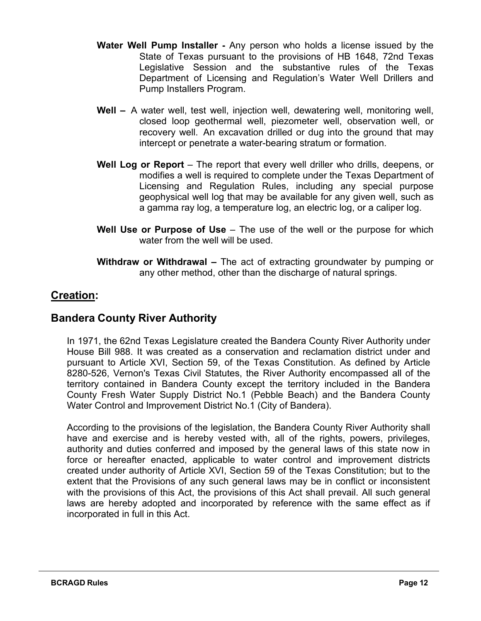- **Water Well Pump Installer -** Any person who holds a license issued by the State of Texas pursuant to the provisions of HB 1648, 72nd Texas Legislative Session and the substantive rules of the Texas Department of Licensing and Regulation's Water Well Drillers and Pump Installers Program.
- **Well –** A water well, test well, injection well, dewatering well, monitoring well, closed loop geothermal well, piezometer well, observation well, or recovery well. An excavation drilled or dug into the ground that may intercept or penetrate a water-bearing stratum or formation.
- **Well Log or Report**  The report that every well driller who drills, deepens, or modifies a well is required to complete under the Texas Department of Licensing and Regulation Rules, including any special purpose geophysical well log that may be available for any given well, such as a gamma ray log, a temperature log, an electric log, or a caliper log.
- **Well Use or Purpose of Use**  The use of the well or the purpose for which water from the well will be used.
- **Withdraw or Withdrawal –** The act of extracting groundwater by pumping or any other method, other than the discharge of natural springs.

#### <span id="page-12-0"></span>**Creation:**

#### **Bandera County River Authority**

In 1971, the 62nd Texas Legislature created the Bandera County River Authority under House Bill 988. It was created as a conservation and reclamation district under and pursuant to Article XVI, Section 59, of the Texas Constitution. As defined by Article 8280-526, Vernon's Texas Civil Statutes, the River Authority encompassed all of the territory contained in Bandera County except the territory included in the Bandera County Fresh Water Supply District No.1 (Pebble Beach) and the Bandera County Water Control and Improvement District No.1 (City of Bandera).

According to the provisions of the legislation, the Bandera County River Authority shall have and exercise and is hereby vested with, all of the rights, powers, privileges, authority and duties conferred and imposed by the general laws of this state now in force or hereafter enacted, applicable to water control and improvement districts created under authority of Article XVI, Section 59 of the Texas Constitution; but to the extent that the Provisions of any such general laws may be in conflict or inconsistent with the provisions of this Act, the provisions of this Act shall prevail. All such general laws are hereby adopted and incorporated by reference with the same effect as if incorporated in full in this Act.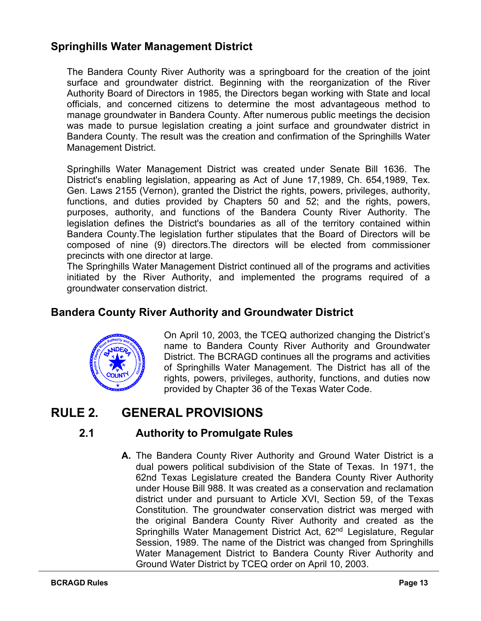#### **Springhills Water Management District**

The Bandera County River Authority was a springboard for the creation of the joint surface and groundwater district. Beginning with the reorganization of the River Authority Board of Directors in 1985, the Directors began working with State and local officials, and concerned citizens to determine the most advantageous method to manage groundwater in Bandera County. After numerous public meetings the decision was made to pursue legislation creating a joint surface and groundwater district in Bandera County. The result was the creation and confirmation of the Springhills Water Management District.

Springhills Water Management District was created under Senate Bill 1636. The District's enabling legislation, appearing as Act of June 17,1989, Ch. 654,1989, Tex. Gen. Laws 2155 (Vernon), granted the District the rights, powers, privileges, authority, functions, and duties provided by Chapters 50 and 52; and the rights, powers, purposes, authority, and functions of the Bandera County River Authority. The legislation defines the District's boundaries as all of the territory contained within Bandera County.The legislation further stipulates that the Board of Directors will be composed of nine (9) directors.The directors will be elected from commissioner precincts with one director at large.

The Springhills Water Management District continued all of the programs and activities initiated by the River Authority, and implemented the programs required of a groundwater conservation district.

#### **Bandera County River Authority and Groundwater District**



On April 10, 2003, the TCEQ authorized changing the District's name to Bandera County River Authority and Groundwater District. The BCRAGD continues all the programs and activities of Springhills Water Management. The District has all of the rights, powers, privileges, authority, functions, and duties now provided by Chapter 36 of the Texas Water Code.

# <span id="page-13-0"></span>**RULE 2. GENERAL PROVISIONS**

#### **2.1 Authority to Promulgate Rules**

**A.** The Bandera County River Authority and Ground Water District is a dual powers political subdivision of the State of Texas. In 1971, the 62nd Texas Legislature created the Bandera County River Authority under House Bill 988. It was created as a conservation and reclamation district under and pursuant to Article XVI, Section 59, of the Texas Constitution. The groundwater conservation district was merged with the original Bandera County River Authority and created as the Springhills Water Management District Act, 62<sup>nd</sup> Legislature, Regular Session, 1989. The name of the District was changed from Springhills Water Management District to Bandera County River Authority and Ground Water District by TCEQ order on April 10, 2003.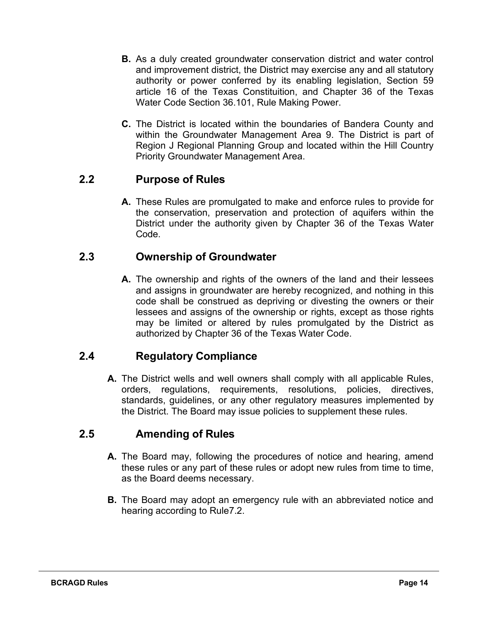- **B.** As a duly created groundwater conservation district and water control and improvement district, the District may exercise any and all statutory authority or power conferred by its enabling legislation, Section 59 article 16 of the Texas Constituition, and Chapter 36 of the Texas Water Code Section 36.101, Rule Making Power.
- **C.** The District is located within the boundaries of Bandera County and within the Groundwater Management Area 9. The District is part of Region J Regional Planning Group and located within the Hill Country Priority Groundwater Management Area.

#### <span id="page-14-0"></span>**2.2 Purpose of Rules**

**A.** These Rules are promulgated to make and enforce rules to provide for the conservation, preservation and protection of aquifers within the District under the authority given by Chapter 36 of the Texas Water Code.

#### <span id="page-14-1"></span>**2.3 Ownership of Groundwater**

**A.** The ownership and rights of the owners of the land and their lessees and assigns in groundwater are hereby recognized, and nothing in this code shall be construed as depriving or divesting the owners or their lessees and assigns of the ownership or rights, except as those rights may be limited or altered by rules promulgated by the District as authorized by Chapter 36 of the Texas Water Code.

#### **2.4 Regulatory Compliance**

<span id="page-14-2"></span>**A.** The District wells and well owners shall comply with all applicable Rules, orders, regulations, requirements, resolutions, policies, directives, standards, guidelines, or any other regulatory measures implemented by the District. The Board may issue policies to supplement these rules.

#### <span id="page-14-3"></span>**2.5 Amending of Rules**

- **A.** The Board may, following the procedures of notice and hearing, amend these rules or any part of these rules or adopt new rules from time to time, as the Board deems necessary.
- **B.** The Board may adopt an emergency rule with an abbreviated notice and hearing according to Rule7.2.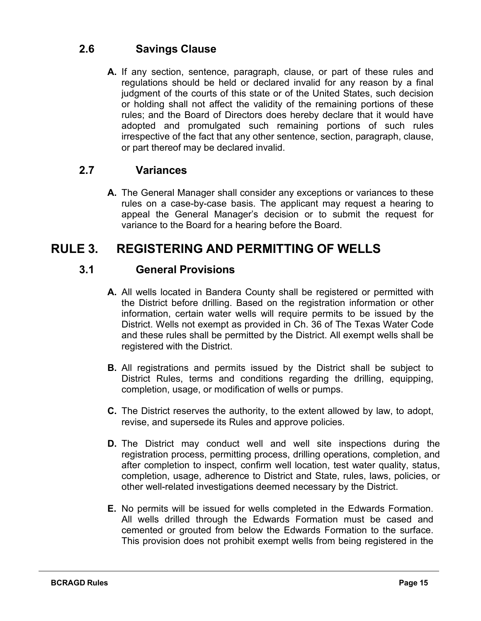#### <span id="page-15-0"></span>**2.6 Savings Clause**

**A.** If any section, sentence, paragraph, clause, or part of these rules and regulations should be held or declared invalid for any reason by a final judgment of the courts of this state or of the United States, such decision or holding shall not affect the validity of the remaining portions of these rules; and the Board of Directors does hereby declare that it would have adopted and promulgated such remaining portions of such rules irrespective of the fact that any other sentence, section, paragraph, clause, or part thereof may be declared invalid.

#### <span id="page-15-1"></span>**2.7 Variances**

**A.** The General Manager shall consider any exceptions or variances to these rules on a case-by-case basis. The applicant may request a hearing to appeal the General Manager's decision or to submit the request for variance to the Board for a hearing before the Board.

# <span id="page-15-3"></span><span id="page-15-2"></span>**RULE 3. REGISTERING AND PERMITTING OF WELLS**

#### **3.1 General Provisions**

- **A.** All wells located in Bandera County shall be registered or permitted with the District before drilling. Based on the registration information or other information, certain water wells will require permits to be issued by the District. Wells not exempt as provided in Ch. 36 of The Texas Water Code and these rules shall be permitted by the District. All exempt wells shall be registered with the District.
- **B.** All registrations and permits issued by the District shall be subject to District Rules, terms and conditions regarding the drilling, equipping, completion, usage, or modification of wells or pumps.
- **C.** The District reserves the authority, to the extent allowed by law, to adopt, revise, and supersede its Rules and approve policies.
- **D.** The District may conduct well and well site inspections during the registration process, permitting process, drilling operations, completion, and after completion to inspect, confirm well location, test water quality, status, completion, usage, adherence to District and State, rules, laws, policies, or other well-related investigations deemed necessary by the District.
- **E.** No permits will be issued for wells completed in the Edwards Formation. All wells drilled through the Edwards Formation must be cased and cemented or grouted from below the Edwards Formation to the surface. This provision does not prohibit exempt wells from being registered in the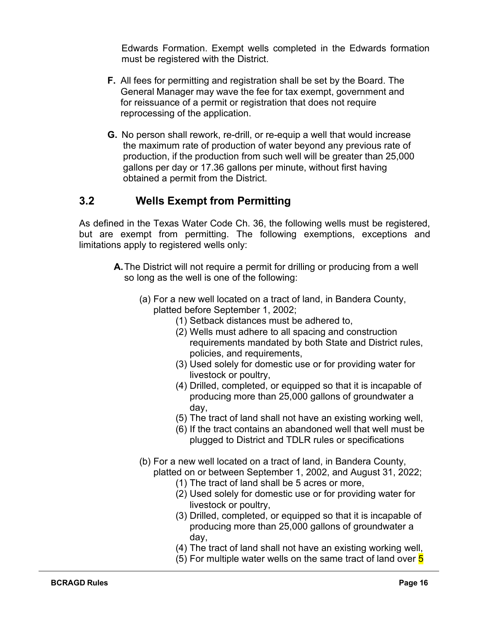Edwards Formation. Exempt wells completed in the Edwards formation must be registered with the District.

- **F.** All fees for permitting and registration shall be set by the Board. The General Manager may wave the fee for tax exempt, government and for reissuance of a permit or registration that does not require reprocessing of the application.
- **G.** No person shall rework, re-drill, or re-equip a well that would increase the maximum rate of production of water beyond any previous rate of production, if the production from such well will be greater than 25,000 gallons per day or 17.36 gallons per minute, without first having obtained a permit from the District.

#### <span id="page-16-0"></span>**3.2 Wells Exempt from Permitting**

As defined in the Texas Water Code Ch. 36, the following wells must be registered, but are exempt from permitting. The following exemptions, exceptions and limitations apply to registered wells only:

- **A.**The District will not require a permit for drilling or producing from a well so long as the well is one of the following:
	- (a) For a new well located on a tract of land, in Bandera County, platted before September 1, 2002;
		- (1) Setback distances must be adhered to,
		- (2) Wells must adhere to all spacing and construction requirements mandated by both State and District rules, policies, and requirements,
		- (3) Used solely for domestic use or for providing water for livestock or poultry,
		- (4) Drilled, completed, or equipped so that it is incapable of producing more than 25,000 gallons of groundwater a day,
		- (5) The tract of land shall not have an existing working well,
		- (6) If the tract contains an abandoned well that well must be plugged to District and TDLR rules or specifications
	- (b) For a new well located on a tract of land, in Bandera County, platted on or between September 1, 2002, and August 31, 2022;
		- (1) The tract of land shall be 5 acres or more,
		- (2) Used solely for domestic use or for providing water for livestock or poultry,
		- (3) Drilled, completed, or equipped so that it is incapable of producing more than 25,000 gallons of groundwater a day,
		- (4) The tract of land shall not have an existing working well,
		- (5) For multiple water wells on the same tract of land over  $5$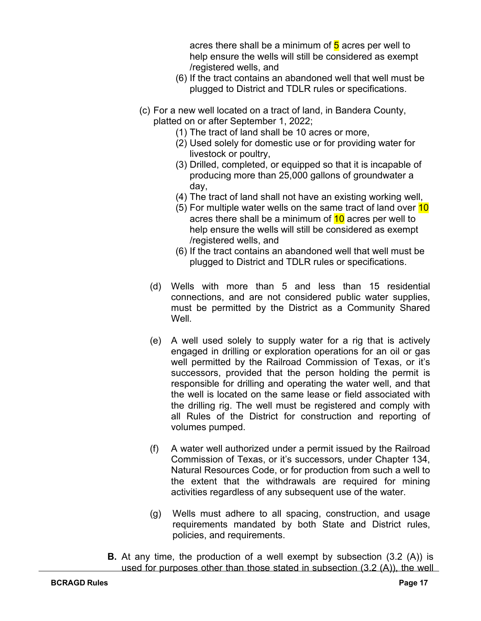acres there shall be a minimum of  $5$  acres per well to help ensure the wells will still be considered as exempt /registered wells, and

- (6) If the tract contains an abandoned well that well must be plugged to District and TDLR rules or specifications.
- (c) For a new well located on a tract of land, in Bandera County, platted on or after September 1, 2022;
	- (1) The tract of land shall be 10 acres or more,
	- (2) Used solely for domestic use or for providing water for livestock or poultry,
	- (3) Drilled, completed, or equipped so that it is incapable of producing more than 25,000 gallons of groundwater a day,
	- (4) The tract of land shall not have an existing working well,
	- (5) For multiple water wells on the same tract of land over  $10$ acres there shall be a minimum of 10 acres per well to help ensure the wells will still be considered as exempt /registered wells, and
	- (6) If the tract contains an abandoned well that well must be plugged to District and TDLR rules or specifications.
	- (d) Wells with more than 5 and less than 15 residential connections, and are not considered public water supplies, must be permitted by the District as a Community Shared Well.
	- (e) A well used solely to supply water for a rig that is actively engaged in drilling or exploration operations for an oil or gas well permitted by the Railroad Commission of Texas, or it's successors, provided that the person holding the permit is responsible for drilling and operating the water well, and that the well is located on the same lease or field associated with the drilling rig. The well must be registered and comply with all Rules of the District for construction and reporting of volumes pumped.
	- (f) A water well authorized under a permit issued by the Railroad Commission of Texas, or it's successors, under Chapter 134, Natural Resources Code, or for production from such a well to the extent that the withdrawals are required for mining activities regardless of any subsequent use of the water.
	- (g) Wells must adhere to all spacing, construction, and usage requirements mandated by both State and District rules, policies, and requirements.
- **B.** At any time, the production of a well exempt by subsection (3.2 (A)) is used for purposes other than those stated in subsection  $(3.2 \text{ (A)})$ , the well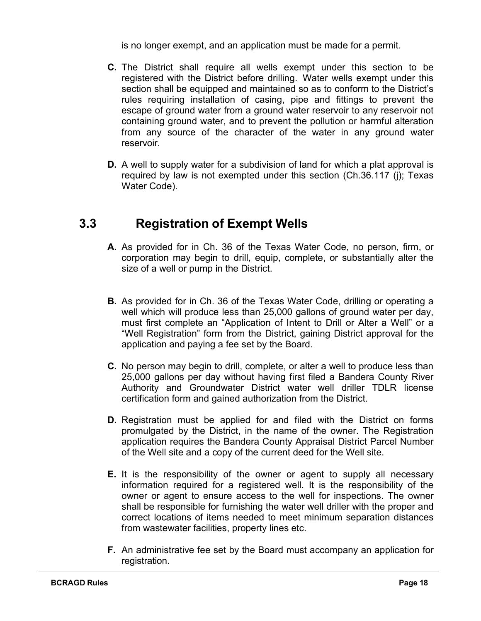is no longer exempt, and an application must be made for a permit.

- **C.** The District shall require all wells exempt under this section to be registered with the District before drilling. Water wells exempt under this section shall be equipped and maintained so as to conform to the District's rules requiring installation of casing, pipe and fittings to prevent the escape of ground water from a ground water reservoir to any reservoir not containing ground water, and to prevent the pollution or harmful alteration from any source of the character of the water in any ground water reservoir.
- **D.** A well to supply water for a subdivision of land for which a plat approval is required by law is not exempted under this section (Ch.36.117 (j); Texas Water Code).

# **3.3 Registration of Exempt Wells**

- <span id="page-18-0"></span>**A.** As provided for in Ch. 36 of the Texas Water Code, no person, firm, or corporation may begin to drill, equip, complete, or substantially alter the size of a well or pump in the District.
- **B.** As provided for in Ch. 36 of the Texas Water Code, drilling or operating a well which will produce less than 25,000 gallons of ground water per day, must first complete an "Application of Intent to Drill or Alter a Well" or a "Well Registration" form from the District, gaining District approval for the application and paying a fee set by the Board.
- **C.** No person may begin to drill, complete, or alter a well to produce less than 25,000 gallons per day without having first filed a Bandera County River Authority and Groundwater District water well driller TDLR license certification form and gained authorization from the District.
- **D.** Registration must be applied for and filed with the District on forms promulgated by the District, in the name of the owner. The Registration application requires the Bandera County Appraisal District Parcel Number of the Well site and a copy of the current deed for the Well site.
- **E.** It is the responsibility of the owner or agent to supply all necessary information required for a registered well. It is the responsibility of the owner or agent to ensure access to the well for inspections. The owner shall be responsible for furnishing the water well driller with the proper and correct locations of items needed to meet minimum separation distances from wastewater facilities, property lines etc.
- **F.** An administrative fee set by the Board must accompany an application for registration.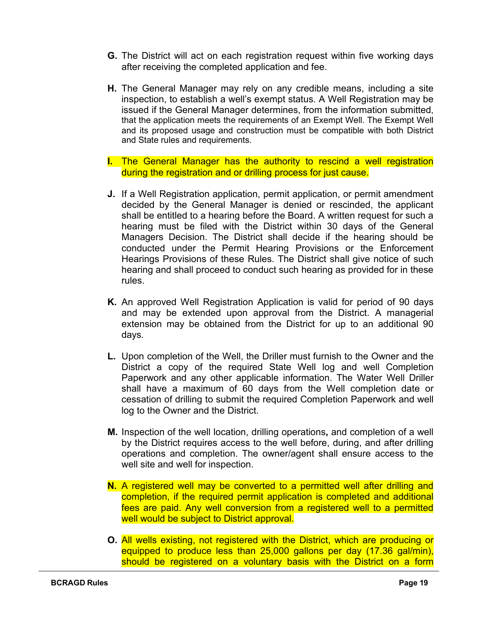- **G.** The District will act on each registration request within five working days after receiving the completed application and fee.
- **H.** The General Manager may rely on any credible means, including a site inspection, to establish a well's exempt status. A Well Registration may be issued if the General Manager determines, from the information submitted, that the application meets the requirements of an Exempt Well. The Exempt Well and its proposed usage and construction must be compatible with both District and State rules and requirements.
- **I.** The General Manager has the authority to rescind a well registration during the registration and or drilling process for just cause.
- **J.** If a Well Registration application, permit application, or permit amendment decided by the General Manager is denied or rescinded, the applicant shall be entitled to a hearing before the Board. A written request for such a hearing must be filed with the District within 30 days of the General Managers Decision. The District shall decide if the hearing should be conducted under the Permit Hearing Provisions or the Enforcement Hearings Provisions of these Rules. The District shall give notice of such hearing and shall proceed to conduct such hearing as provided for in these rules.
- **K.** An approved Well Registration Application is valid for period of 90 days and may be extended upon approval from the District. A managerial extension may be obtained from the District for up to an additional 90 days.
- **L.** Upon completion of the Well, the Driller must furnish to the Owner and the District a copy of the required State Well log and well Completion Paperwork and any other applicable information. The Water Well Driller shall have a maximum of 60 days from the Well completion date or cessation of drilling to submit the required Completion Paperwork and well log to the Owner and the District.
- **M.** Inspection of the well location, drilling operations**,** and completion of a well by the District requires access to the well before, during, and after drilling operations and completion. The owner/agent shall ensure access to the well site and well for inspection.
- **N.** A registered well may be converted to a permitted well after drilling and completion, if the required permit application is completed and additional fees are paid. Any well conversion from a registered well to a permitted well would be subject to District approval.
- **O.** All wells existing, not registered with the District, which are producing or equipped to produce less than 25,000 gallons per day (17.36 gal/min), should be registered on a voluntary basis with the District on a form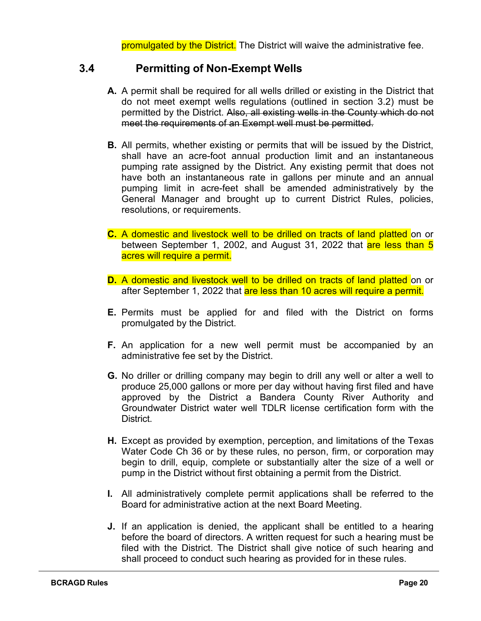promulgated by the District. The District will waive the administrative fee.

#### <span id="page-20-0"></span>**3.4 Permitting of Non-Exempt Wells**

- **A.** A permit shall be required for all wells drilled or existing in the District that do not meet exempt wells regulations (outlined in section 3.2) must be permitted by the District. Also, all existing wells in the County which do not meet the requirements of an Exempt well must be permitted.
- **B.** All permits, whether existing or permits that will be issued by the District, shall have an acre-foot annual production limit and an instantaneous pumping rate assigned by the District. Any existing permit that does not have both an instantaneous rate in gallons per minute and an annual pumping limit in acre-feet shall be amended administratively by the General Manager and brought up to current District Rules, policies, resolutions, or requirements.
- **C.** A domestic and livestock well to be drilled on tracts of land platted on or between September 1, 2002, and August 31, 2022 that are less than 5 acres will require a permit.
- **D.** A domestic and livestock well to be drilled on tracts of land platted on or after September 1, 2022 that <mark>are less than 10 acres will require a permit.</mark>
- **E.** Permits must be applied for and filed with the District on forms promulgated by the District.
- **F.** An application for a new well permit must be accompanied by an administrative fee set by the District.
- **G.** No driller or drilling company may begin to drill any well or alter a well to produce 25,000 gallons or more per day without having first filed and have approved by the District a Bandera County River Authority and Groundwater District water well TDLR license certification form with the District.
- **H.** Except as provided by exemption, perception, and limitations of the Texas Water Code Ch 36 or by these rules, no person, firm, or corporation may begin to drill, equip, complete or substantially alter the size of a well or pump in the District without first obtaining a permit from the District.
- **I.** All administratively complete permit applications shall be referred to the Board for administrative action at the next Board Meeting.
- **J.** If an application is denied, the applicant shall be entitled to a hearing before the board of directors. A written request for such a hearing must be filed with the District. The District shall give notice of such hearing and shall proceed to conduct such hearing as provided for in these rules.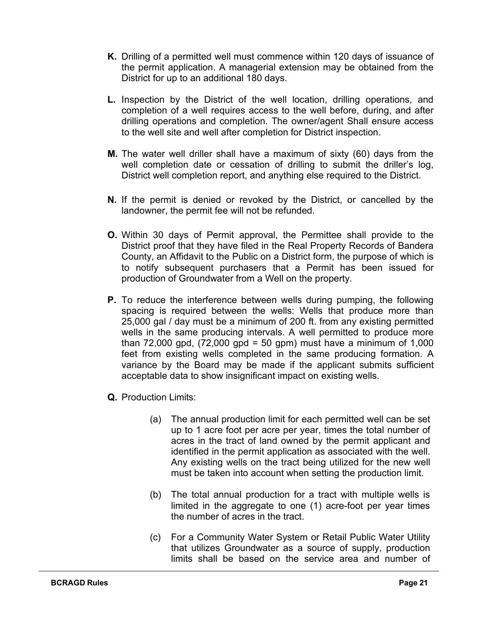- **K.** Drilling of a permitted well must commence within 120 days of issuance of the permit application. A managerial extension may be obtained from the District for up to an additional 180 days.
- **L.** Inspection by the District of the well location, drilling operations, and completion of a well requires access to the well before, during, and after drilling operations and completion. The owner/agent Shall ensure access to the well site and well after completion for District inspection.
- **M.** The water well driller shall have a maximum of sixty (60) days from the well completion date or cessation of drilling to submit the driller's log, District well completion report, and anything else required to the District.
- **N.** If the permit is denied or revoked by the District, or cancelled by the landowner, the permit fee will not be refunded.
- **O.** Within 30 days of Permit approval, the Permittee shall provide to the District proof that they have filed in the Real Property Records of Bandera County, an Affidavit to the Public on a District form, the purpose of which is to notify subsequent purchasers that a Permit has been issued for production of Groundwater from a Well on the property.
- **P.** To reduce the interference between wells during pumping, the following spacing is required between the wells: Wells that produce more than 25,000 gal / day must be a minimum of 200 ft. from any existing permitted wells in the same producing intervals. A well permitted to produce more than  $72,000$  gpd,  $(72,000$  gpd = 50 gpm) must have a minimum of  $1,000$ feet from existing wells completed in the same producing formation. A variance by the Board may be made if the applicant submits sufficient acceptable data to show insignificant impact on existing wells.
- **Q.** Production Limits:
	- (a) The annual production limit for each permitted well can be set up to 1 acre foot per acre per year, times the total number of acres in the tract of land owned by the permit applicant and identified in the permit application as associated with the well. Any existing wells on the tract being utilized for the new well must be taken into account when setting the production limit.
	- (b) The total annual production for a tract with multiple wells is limited in the aggregate to one (1) acre-foot per year times the number of acres in the tract.
	- (c) For a Community Water System or Retail Public Water Utility that utilizes Groundwater as a source of supply, production limits shall be based on the service area and number of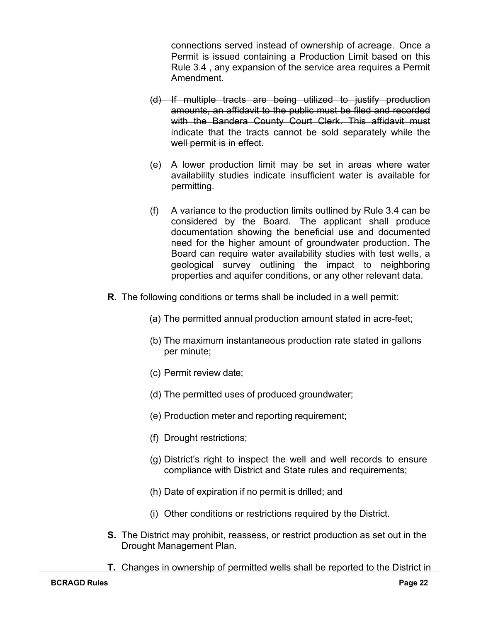connections served instead of ownership of acreage. Once a Permit is issued containing a Production Limit based on this Rule 3.4 , any expansion of the service area requires a Permit Amendment.

- (d) If multiple tracts are being utilized to justify production amounts, an affidavit to the public must be filed and recorded with the Bandera County Court Clerk. This affidavit must indicate that the tracts cannot be sold separately while the well permit is in effect.
- (e) A lower production limit may be set in areas where water availability studies indicate insufficient water is available for permitting.
- (f) A variance to the production limits outlined by Rule 3.4 can be considered by the Board. The applicant shall produce documentation showing the beneficial use and documented need for the higher amount of groundwater production. The Board can require water availability studies with test wells, a geological survey outlining the impact to neighboring properties and aquifer conditions, or any other relevant data.
- **R.** The following conditions or terms shall be included in a well permit:
	- (a) The permitted annual production amount stated in acre-feet;
	- (b) The maximum instantaneous production rate stated in gallons per minute;
	- (c) Permit review date;
	- (d) The permitted uses of produced groundwater;
	- (e) Production meter and reporting requirement;
	- (f) Drought restrictions;
	- (g) District's right to inspect the well and well records to ensure compliance with District and State rules and requirements;
	- (h) Date of expiration if no permit is drilled; and
	- (i) Other conditions or restrictions required by the District.
- **S.** The District may prohibit, reassess, or restrict production as set out in the Drought Management Plan.
- **T.** Changes in ownership of permitted wells shall be reported to the District in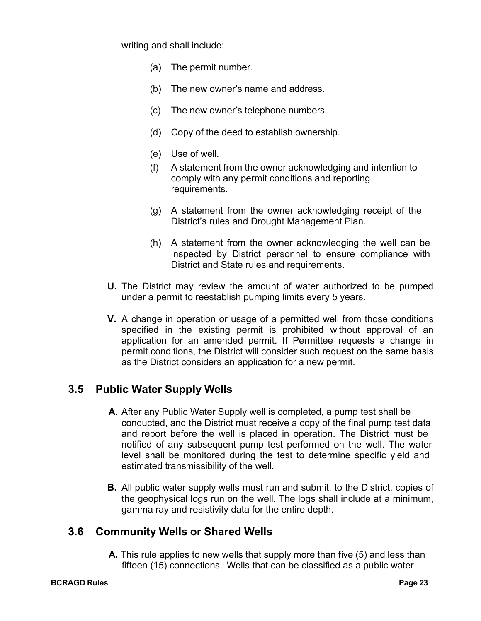writing and shall include:

- (a) The permit number.
- (b) The new owner's name and address.
- (c) The new owner's telephone numbers.
- (d) Copy of the deed to establish ownership.
- (e) Use of well.
- (f) A statement from the owner acknowledging and intention to comply with any permit conditions and reporting requirements.
- (g) A statement from the owner acknowledging receipt of the District's rules and Drought Management Plan.
- (h) A statement from the owner acknowledging the well can be inspected by District personnel to ensure compliance with District and State rules and requirements.
- **U.** The District may review the amount of water authorized to be pumped under a permit to reestablish pumping limits every 5 years.
- **V.** A change in operation or usage of a permitted well from those conditions specified in the existing permit is prohibited without approval of an application for an amended permit. If Permittee requests a change in permit conditions, the District will consider such request on the same basis as the District considers an application for a new permit.

#### <span id="page-23-0"></span>**3.5 Public Water Supply Wells**

- **A.** After any Public Water Supply well is completed, a pump test shall be conducted, and the District must receive a copy of the final pump test data and report before the well is placed in operation. The District must be notified of any subsequent pump test performed on the well. The water level shall be monitored during the test to determine specific yield and estimated transmissibility of the well.
- **B.** All public water supply wells must run and submit, to the District, copies of the geophysical logs run on the well. The logs shall include at a minimum, gamma ray and resistivity data for the entire depth.

#### <span id="page-23-1"></span>**3.6 Community Wells or Shared Wells**

**A.** This rule applies to new wells that supply more than five (5) and less than fifteen (15) connections. Wells that can be classified as a public water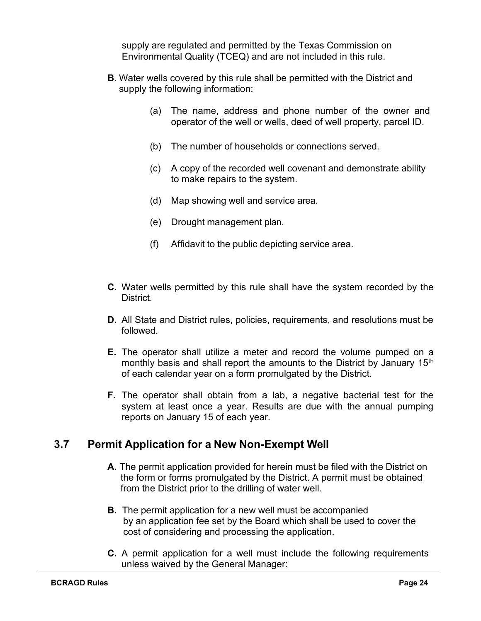supply are regulated and permitted by the Texas Commission on Environmental Quality (TCEQ) and are not included in this rule.

- **B.** Water wells covered by this rule shall be permitted with the District and supply the following information:
	- (a) The name, address and phone number of the owner and operator of the well or wells, deed of well property, parcel ID.
	- (b) The number of households or connections served.
	- (c) A copy of the recorded well covenant and demonstrate ability to make repairs to the system.
	- (d) Map showing well and service area.
	- (e) Drought management plan.
	- (f) Affidavit to the public depicting service area.
- **C.** Water wells permitted by this rule shall have the system recorded by the **District.**
- **D.** All State and District rules, policies, requirements, and resolutions must be followed.
- **E.** The operator shall utilize a meter and record the volume pumped on a monthly basis and shall report the amounts to the District by January 15<sup>th</sup> of each calendar year on a form promulgated by the District.
- **F.** The operator shall obtain from a lab, a negative bacterial test for the system at least once a year. Results are due with the annual pumping reports on January 15 of each year.

#### <span id="page-24-0"></span>**3.7 Permit Application for a New Non-Exempt Well**

- **A.** The permit application provided for herein must be filed with the District on the form or forms promulgated by the District. A permit must be obtained from the District prior to the drilling of water well.
- **B.** The permit application for a new well must be accompanied by an application fee set by the Board which shall be used to cover the cost of considering and processing the application.
- **C.** A permit application for a well must include the following requirements unless waived by the General Manager: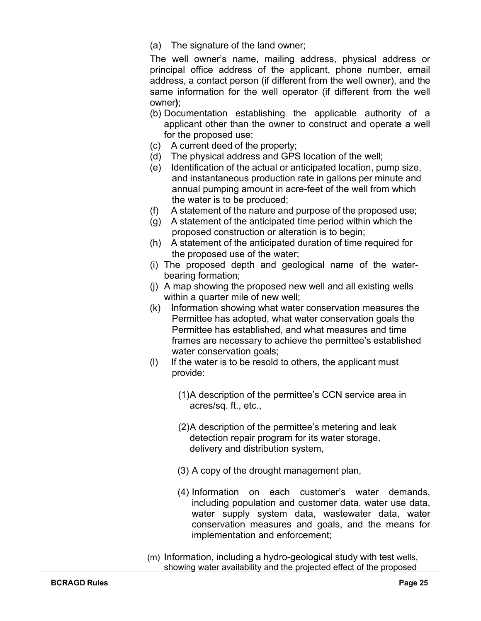(a) The signature of the land owner;

The well owner's name, mailing address, physical address or principal office address of the applicant, phone number, email address, a contact person (if different from the well owner), and the same information for the well operator (if different from the well owner**)**;

- (b) Documentation establishing the applicable authority of a applicant other than the owner to construct and operate a well for the proposed use;
- (c) A current deed of the property;
- (d) The physical address and GPS location of the well;
- (e) Identification of the actual or anticipated location, pump size, and instantaneous production rate in gallons per minute and annual pumping amount in acre-feet of the well from which the water is to be produced;
- (f) A statement of the nature and purpose of the proposed use;
- (g) A statement of the anticipated time period within which the proposed construction or alteration is to begin;
- (h) A statement of the anticipated duration of time required for the proposed use of the water;
- (i) The proposed depth and geological name of the waterbearing formation;
- (j) A map showing the proposed new well and all existing wells within a quarter mile of new well;
- (k) Information showing what water conservation measures the Permittee has adopted, what water conservation goals the Permittee has established, and what measures and time frames are necessary to achieve the permittee's established water conservation goals;
- (l) If the water is to be resold to others, the applicant must provide:
	- (1)A description of the permittee's CCN service area in acres/sq. ft., etc.,
	- (2)A description of the permittee's metering and leak detection repair program for its water storage, delivery and distribution system,
	- (3) A copy of the drought management plan,
	- (4) Information on each customer's water demands, including population and customer data, water use data, water supply system data, wastewater data, water conservation measures and goals, and the means for implementation and enforcement;
- (m) Information, including a hydro-geological study with test wells, showing water availability and the projected effect of the proposed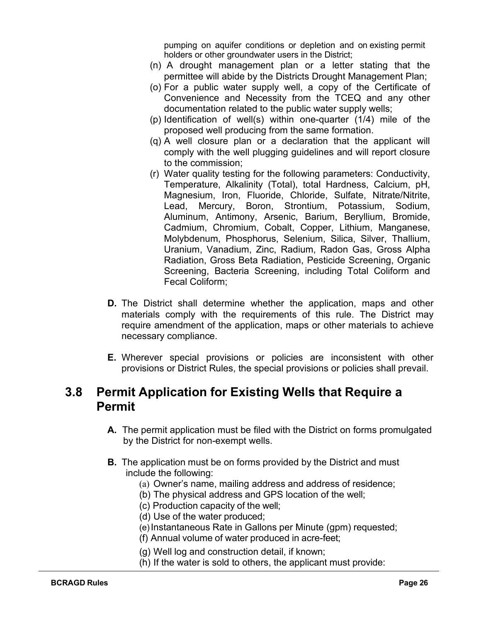pumping on aquifer conditions or depletion and on existing permit holders or other groundwater users in the District;

- (n) A drought management plan or a letter stating that the permittee will abide by the Districts Drought Management Plan;
- (o) For a public water supply well, a copy of the Certificate of Convenience and Necessity from the TCEQ and any other documentation related to the public water supply wells;
- (p) Identification of well(s) within one-quarter (1/4) mile of the proposed well producing from the same formation.
- (q) A well closure plan or a declaration that the applicant will comply with the well plugging guidelines and will report closure to the commission;
- (r) Water quality testing for the following parameters: Conductivity, Temperature, Alkalinity (Total), total Hardness, Calcium, pH, Magnesium, Iron, Fluoride, Chloride, Sulfate, Nitrate/Nitrite, Lead, Mercury, Boron, Strontium, Potassium, Sodium, Aluminum, Antimony, Arsenic, Barium, Beryllium, Bromide, Cadmium, Chromium, Cobalt, Copper, Lithium, Manganese, Molybdenum, Phosphorus, Selenium, Silica, Silver, Thallium, Uranium, Vanadium, Zinc, Radium, Radon Gas, Gross Alpha Radiation, Gross Beta Radiation, Pesticide Screening, Organic Screening, Bacteria Screening, including Total Coliform and Fecal Coliform;
- **D.** The District shall determine whether the application, maps and other materials comply with the requirements of this rule. The District may require amendment of the application, maps or other materials to achieve necessary compliance.
- **E.** Wherever special provisions or policies are inconsistent with other provisions or District Rules, the special provisions or policies shall prevail.

# <span id="page-26-0"></span>**3.8 Permit Application for Existing Wells that Require a Permit**

- **A.** The permit application must be filed with the District on forms promulgated by the District for non-exempt wells.
- **B.** The application must be on forms provided by the District and must include the following:
	- (a) Owner's name, mailing address and address of residence;
	- (b) The physical address and GPS location of the well;
	- (c) Production capacity of the well;
	- (d) Use of the water produced;
	- (e)Instantaneous Rate in Gallons per Minute (gpm) requested;
	- (f) Annual volume of water produced in acre-feet;
	- (g) Well log and construction detail, if known;
	- (h) If the water is sold to others, the applicant must provide: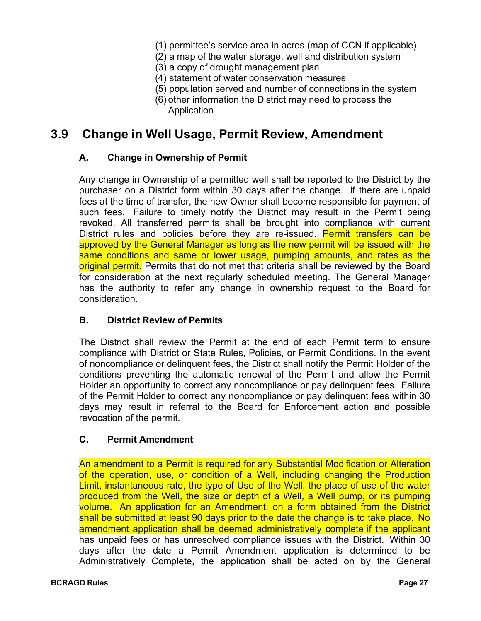- (1) permittee's service area in acres (map of CCN if applicable)
- (2) a map of the water storage, well and distribution system
- (3) a copy of drought management plan
- (4) statement of water conservation measures
- (5) population served and number of connections in the system
- (6) other information the District may need to process the Application

# <span id="page-27-0"></span>**3.9 Change in Well Usage, Permit Review, Amendment**

#### **A. Change in Ownership of Permit**

Any change in Ownership of a permitted well shall be reported to the District by the purchaser on a District form within 30 days after the change. If there are unpaid fees at the time of transfer, the new Owner shall become responsible for payment of such fees. Failure to timely notify the District may result in the Permit being revoked. All transferred permits shall be brought into compliance with current District rules and policies before they are re-issued. Permit transfers can be approved by the General Manager as long as the new permit will be issued with the same conditions and same or lower usage, pumping amounts, and rates as the original permit. Permits that do not met that criteria shall be reviewed by the Board for consideration at the next regularly scheduled meeting. The General Manager has the authority to refer any change in ownership request to the Board for consideration.

#### **B. District Review of Permits**

The District shall review the Permit at the end of each Permit term to ensure compliance with District or State Rules, Policies, or Permit Conditions. In the event of noncompliance or delinquent fees, the District shall notify the Permit Holder of the conditions preventing the automatic renewal of the Permit and allow the Permit Holder an opportunity to correct any noncompliance or pay delinquent fees. Failure of the Permit Holder to correct any noncompliance or pay delinquent fees within 30 days may result in referral to the Board for Enforcement action and possible revocation of the permit.

#### **C. Permit Amendment**

An amendment to a Permit is required for any Substantial Modification or Alteration of the operation, use, or condition of a Well, including changing the Production Limit, instantaneous rate, the type of Use of the Well, the place of use of the water produced from the Well, the size or depth of a Well, a Well pump, or its pumping volume. An application for an Amendment, on a form obtained from the District shall be submitted at least 90 days prior to the date the change is to take place. No amendment application shall be deemed administratively complete if the applicant has unpaid fees or has unresolved compliance issues with the District. Within 30 days after the date a Permit Amendment application is determined to be Administratively Complete, the application shall be acted on by the General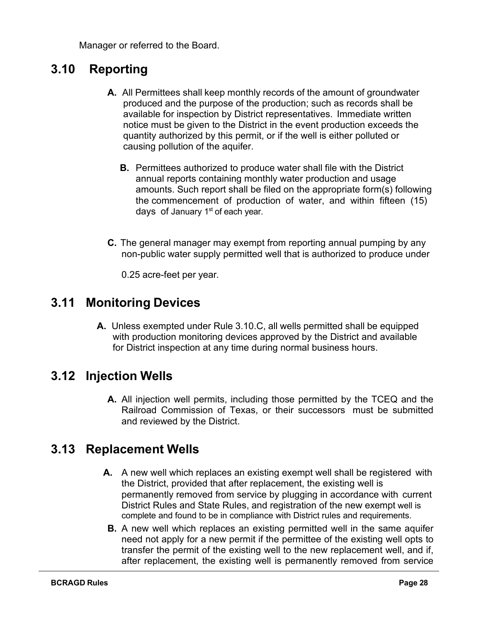Manager or referred to the Board.

# <span id="page-28-0"></span>**3.10 Reporting**

- **A.** All Permittees shall keep monthly records of the amount of groundwater produced and the purpose of the production; such as records shall be available for inspection by District representatives. Immediate written notice must be given to the District in the event production exceeds the quantity authorized by this permit, or if the well is either polluted or causing pollution of the aquifer.
	- **B.** Permittees authorized to produce water shall file with the District annual reports containing monthly water production and usage amounts. Such report shall be filed on the appropriate form(s) following the commencement of production of water, and within fifteen (15) days of January  $1<sup>st</sup>$  of each year.
- **C.** The general manager may exempt from reporting annual pumping by any non-public water supply permitted well that is authorized to produce under

0.25 acre-feet per year.

#### <span id="page-28-1"></span>**3.11 Monitoring Devices**

**A.** Unless exempted under Rule 3.10.C, all wells permitted shall be equipped with production monitoring devices approved by the District and available for District inspection at any time during normal business hours.

# <span id="page-28-2"></span>**3.12 Injection Wells**

**A.** All injection well permits, including those permitted by the TCEQ and the Railroad Commission of Texas, or their successors must be submitted and reviewed by the District.

# <span id="page-28-3"></span>**3.13 Replacement Wells**

- **A.** A new well which replaces an existing exempt well shall be registered with the District, provided that after replacement, the existing well is permanently removed from service by plugging in accordance with current District Rules and State Rules, and registration of the new exempt well is complete and found to be in compliance with District rules and requirements.
- **B.** A new well which replaces an existing permitted well in the same aquifer need not apply for a new permit if the permittee of the existing well opts to transfer the permit of the existing well to the new replacement well, and if, after replacement, the existing well is permanently removed from service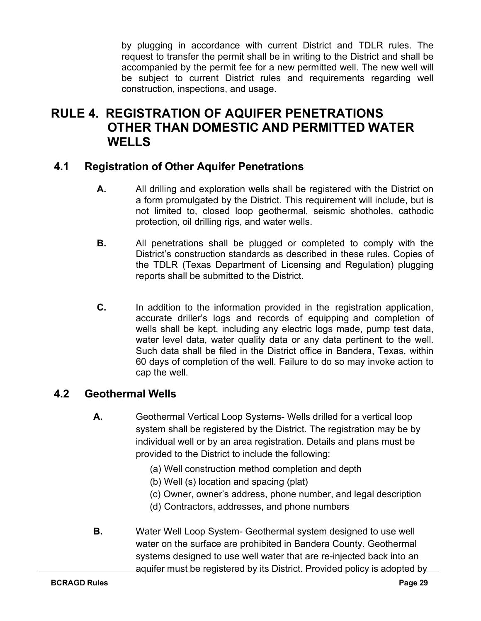by plugging in accordance with current District and TDLR rules. The request to transfer the permit shall be in writing to the District and shall be accompanied by the permit fee for a new permitted well. The new well will be subject to current District rules and requirements regarding well construction, inspections, and usage.

# <span id="page-29-0"></span>**RULE 4. REGISTRATION OF AQUIFER PENETRATIONS OTHER THAN DOMESTIC AND PERMITTED WATER WELLS**

#### <span id="page-29-1"></span>**4.1 Registration of Other Aquifer Penetrations**

- **A.** All drilling and exploration wells shall be registered with the District on a form promulgated by the District. This requirement will include, but is not limited to, closed loop geothermal, seismic shotholes, cathodic protection, oil drilling rigs, and water wells.
- **B.** All penetrations shall be plugged or completed to comply with the District's construction standards as described in these rules. Copies of the TDLR (Texas Department of Licensing and Regulation) plugging reports shall be submitted to the District.
- **C.** In addition to the information provided in the registration application, accurate driller's logs and records of equipping and completion of wells shall be kept, including any electric logs made, pump test data, water level data, water quality data or any data pertinent to the well. Such data shall be filed in the District office in Bandera, Texas, within 60 days of completion of the well. Failure to do so may invoke action to cap the well.

#### **4.2 Geothermal Wells**

- **A.** Geothermal Vertical Loop Systems- Wells drilled for a vertical loop system shall be registered by the District. The registration may be by individual well or by an area registration. Details and plans must be provided to the District to include the following:
	- (a) Well construction method completion and depth
	- (b) Well (s) location and spacing (plat)
	- (c) Owner, owner's address, phone number, and legal description
	- (d) Contractors, addresses, and phone numbers
- **B.** Water Well Loop System- Geothermal system designed to use well water on the surface are prohibited in Bandera County. Geothermal systems designed to use well water that are re-injected back into an aquifer must be registered by its District. Provided policy is adopted by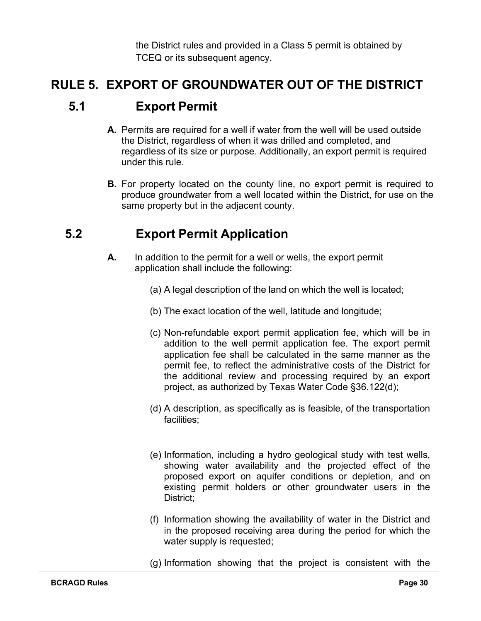the District rules and provided in a Class 5 permit is obtained by TCEQ or its subsequent agency.

# <span id="page-30-1"></span><span id="page-30-0"></span>**RULE 5. EXPORT OF GROUNDWATER OUT OF THE DISTRICT**

# **5.1 Export Permit**

- **A.** Permits are required for a well if water from the well will be used outside the District, regardless of when it was drilled and completed, and regardless of its size or purpose. Additionally, an export permit is required under this rule.
- **B.** For property located on the county line, no export permit is required to produce groundwater from a well located within the District, for use on the same property but in the adjacent county.

# <span id="page-30-2"></span>**5.2 Export Permit Application**

- **A.** In addition to the permit for a well or wells, the export permit application shall include the following:
	- (a) A legal description of the land on which the well is located;
	- (b) The exact location of the well, latitude and longitude;
	- (c) Non-refundable export permit application fee, which will be in addition to the well permit application fee. The export permit application fee shall be calculated in the same manner as the permit fee, to reflect the administrative costs of the District for the additional review and processing required by an export project, as authorized by Texas Water Code §36.122(d);
	- (d) A description, as specifically as is feasible, of the transportation facilities;
	- (e) Information, including a hydro geological study with test wells, showing water availability and the projected effect of the proposed export on aquifer conditions or depletion, and on existing permit holders or other groundwater users in the District;
	- (f) Information showing the availability of water in the District and in the proposed receiving area during the period for which the water supply is requested;
	- (g) Information showing that the project is consistent with the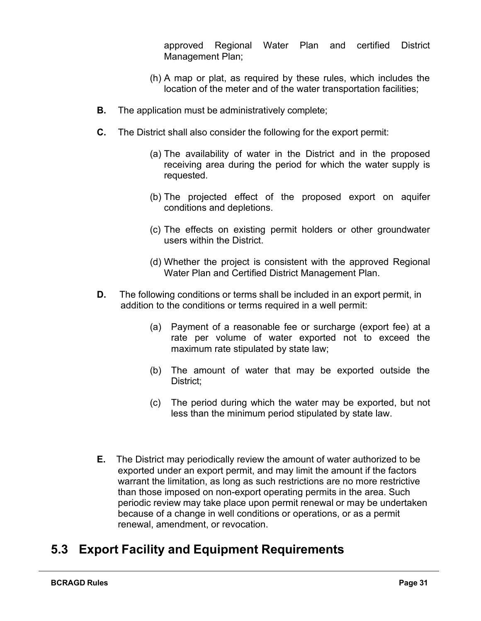approved Regional Water Plan and certified District Management Plan;

- (h) A map or plat, as required by these rules, which includes the location of the meter and of the water transportation facilities;
- **B.** The application must be administratively complete;
- **C.** The District shall also consider the following for the export permit:
	- (a) The availability of water in the District and in the proposed receiving area during the period for which the water supply is requested.
	- (b) The projected effect of the proposed export on aquifer conditions and depletions.
	- (c) The effects on existing permit holders or other groundwater users within the District.
	- (d) Whether the project is consistent with the approved Regional Water Plan and Certified District Management Plan.
- **D.** The following conditions or terms shall be included in an export permit, in addition to the conditions or terms required in a well permit:
	- (a) Payment of a reasonable fee or surcharge (export fee) at a rate per volume of water exported not to exceed the maximum rate stipulated by state law;
	- (b) The amount of water that may be exported outside the District;
	- (c) The period during which the water may be exported, but not less than the minimum period stipulated by state law.
- <span id="page-31-0"></span>**E.** The District may periodically review the amount of water authorized to be exported under an export permit, and may limit the amount if the factors warrant the limitation, as long as such restrictions are no more restrictive than those imposed on non-export operating permits in the area. Such periodic review may take place upon permit renewal or may be undertaken because of a change in well conditions or operations, or as a permit renewal, amendment, or revocation.

# **5.3 Export Facility and Equipment Requirements**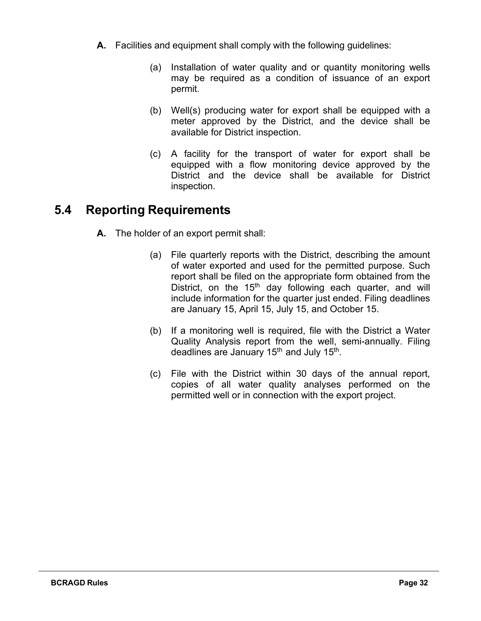- **A.** Facilities and equipment shall comply with the following guidelines:
	- (a) Installation of water quality and or quantity monitoring wells may be required as a condition of issuance of an export permit.
	- (b) Well(s) producing water for export shall be equipped with a meter approved by the District, and the device shall be available for District inspection.
	- (c) A facility for the transport of water for export shall be equipped with a flow monitoring device approved by the District and the device shall be available for District inspection.

# <span id="page-32-0"></span>**5.4 Reporting Requirements**

- **A.** The holder of an export permit shall:
	- (a) File quarterly reports with the District, describing the amount of water exported and used for the permitted purpose. Such report shall be filed on the appropriate form obtained from the District, on the 15<sup>th</sup> day following each quarter, and will include information for the quarter just ended. Filing deadlines are January 15, April 15, July 15, and October 15.
	- (b) If a monitoring well is required, file with the District a Water Quality Analysis report from the well, semi-annually. Filing deadlines are January 15<sup>th</sup> and July 15<sup>th</sup>.
	- (c) File with the District within 30 days of the annual report, copies of all water quality analyses performed on the permitted well or in connection with the export project.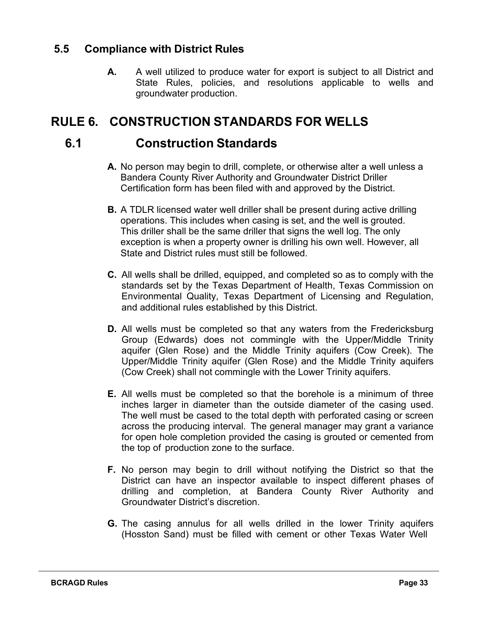#### <span id="page-33-0"></span>**5.5 Compliance with District Rules**

**A.** A well utilized to produce water for export is subject to all District and State Rules, policies, and resolutions applicable to wells and groundwater production.

# <span id="page-33-2"></span><span id="page-33-1"></span>**RULE 6. CONSTRUCTION STANDARDS FOR WELLS**

## **6.1 Construction Standards**

- **A.** No person may begin to drill, complete, or otherwise alter a well unless a Bandera County River Authority and Groundwater District Driller Certification form has been filed with and approved by the District.
- **B.** A TDLR licensed water well driller shall be present during active drilling operations. This includes when casing is set, and the well is grouted. This driller shall be the same driller that signs the well log. The only exception is when a property owner is drilling his own well. However, all State and District rules must still be followed.
- **C.** All wells shall be drilled, equipped, and completed so as to comply with the standards set by the Texas Department of Health, Texas Commission on Environmental Quality, Texas Department of Licensing and Regulation, and additional rules established by this District.
- **D.** All wells must be completed so that any waters from the Fredericksburg Group (Edwards) does not commingle with the Upper/Middle Trinity aquifer (Glen Rose) and the Middle Trinity aquifers (Cow Creek). The Upper/Middle Trinity aquifer (Glen Rose) and the Middle Trinity aquifers (Cow Creek) shall not commingle with the Lower Trinity aquifers.
- **E.** All wells must be completed so that the borehole is a minimum of three inches larger in diameter than the outside diameter of the casing used. The well must be cased to the total depth with perforated casing or screen across the producing interval. The general manager may grant a variance for open hole completion provided the casing is grouted or cemented from the top of production zone to the surface.
- **F.** No person may begin to drill without notifying the District so that the District can have an inspector available to inspect different phases of drilling and completion, at Bandera County River Authority and Groundwater District's discretion.
- **G.** The casing annulus for all wells drilled in the lower Trinity aquifers (Hosston Sand) must be filled with cement or other Texas Water Well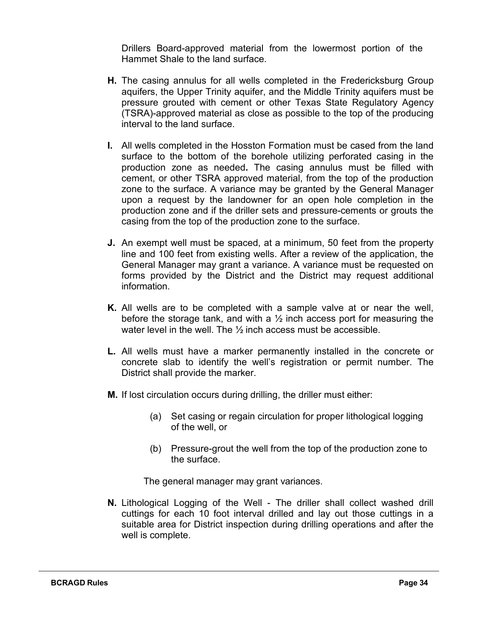Drillers Board-approved material from the lowermost portion of the Hammet Shale to the land surface.

- **H.** The casing annulus for all wells completed in the Fredericksburg Group aquifers, the Upper Trinity aquifer, and the Middle Trinity aquifers must be pressure grouted with cement or other Texas State Regulatory Agency (TSRA)-approved material as close as possible to the top of the producing interval to the land surface.
- **I.** All wells completed in the Hosston Formation must be cased from the land surface to the bottom of the borehole utilizing perforated casing in the production zone as needed**.** The casing annulus must be filled with cement, or other TSRA approved material, from the top of the production zone to the surface. A variance may be granted by the General Manager upon a request by the landowner for an open hole completion in the production zone and if the driller sets and pressure-cements or grouts the casing from the top of the production zone to the surface.
- **J.** An exempt well must be spaced, at a minimum, 50 feet from the property line and 100 feet from existing wells. After a review of the application, the General Manager may grant a variance. A variance must be requested on forms provided by the District and the District may request additional information.
- **K.** All wells are to be completed with a sample valve at or near the well, before the storage tank, and with a  $\frac{1}{2}$  inch access port for measuring the water level in the well. The ½ inch access must be accessible.
- **L.** All wells must have a marker permanently installed in the concrete or concrete slab to identify the well's registration or permit number. The District shall provide the marker.
- **M.** If lost circulation occurs during drilling, the driller must either:
	- (a) Set casing or regain circulation for proper lithological logging of the well, or
	- (b) Pressure-grout the well from the top of the production zone to the surface.

The general manager may grant variances.

**N.** Lithological Logging of the Well - The driller shall collect washed drill cuttings for each 10 foot interval drilled and lay out those cuttings in a suitable area for District inspection during drilling operations and after the well is complete.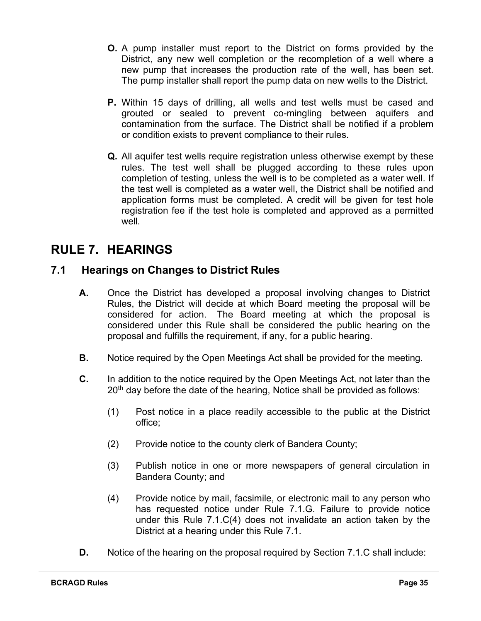- **O.** A pump installer must report to the District on forms provided by the District, any new well completion or the recompletion of a well where a new pump that increases the production rate of the well, has been set. The pump installer shall report the pump data on new wells to the District.
- **P.** Within 15 days of drilling, all wells and test wells must be cased and grouted or sealed to prevent co-mingling between aquifers and contamination from the surface. The District shall be notified if a problem or condition exists to prevent compliance to their rules.
- **Q.** All aquifer test wells require registration unless otherwise exempt by these rules. The test well shall be plugged according to these rules upon completion of testing, unless the well is to be completed as a water well. If the test well is completed as a water well, the District shall be notified and application forms must be completed. A credit will be given for test hole registration fee if the test hole is completed and approved as a permitted well.

# <span id="page-35-0"></span>**RULE 7. HEARINGS**

#### <span id="page-35-1"></span>**7.1 Hearings on Changes to District Rules**

- **A.** Once the District has developed a proposal involving changes to District Rules, the District will decide at which Board meeting the proposal will be considered for action. The Board meeting at which the proposal is considered under this Rule shall be considered the public hearing on the proposal and fulfills the requirement, if any, for a public hearing.
- **B.** Notice required by the Open Meetings Act shall be provided for the meeting.
- **C.** In addition to the notice required by the Open Meetings Act, not later than the  $20<sup>th</sup>$  day before the date of the hearing, Notice shall be provided as follows:
	- (1) Post notice in a place readily accessible to the public at the District office;
	- (2) Provide notice to the county clerk of Bandera County;
	- (3) Publish notice in one or more newspapers of general circulation in Bandera County; and
	- (4) Provide notice by mail, facsimile, or electronic mail to any person who has requested notice under Rule 7.1.G. Failure to provide notice under this Rule 7.1.C(4) does not invalidate an action taken by the District at a hearing under this Rule 7.1.
- **D.** Notice of the hearing on the proposal required by Section 7.1.C shall include: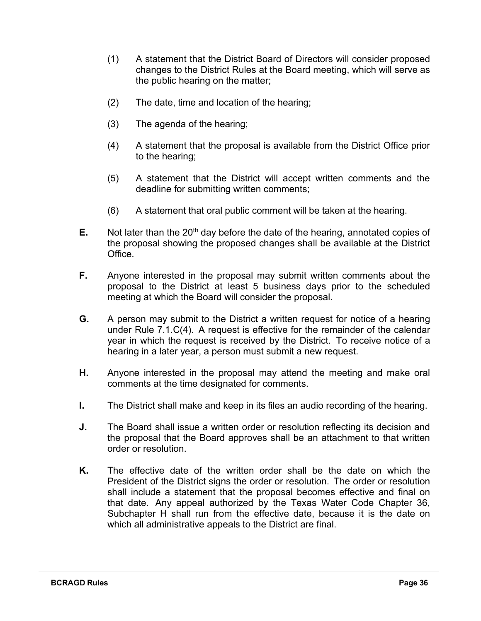- (1) A statement that the District Board of Directors will consider proposed changes to the District Rules at the Board meeting, which will serve as the public hearing on the matter;
- (2) The date, time and location of the hearing;
- (3) The agenda of the hearing;
- (4) A statement that the proposal is available from the District Office prior to the hearing;
- (5) A statement that the District will accept written comments and the deadline for submitting written comments;
- (6) A statement that oral public comment will be taken at the hearing.
- **E.** Not later than the 20<sup>th</sup> day before the date of the hearing, annotated copies of the proposal showing the proposed changes shall be available at the District Office.
- **F.** Anyone interested in the proposal may submit written comments about the proposal to the District at least 5 business days prior to the scheduled meeting at which the Board will consider the proposal.
- **G.** A person may submit to the District a written request for notice of a hearing under Rule 7.1.C(4). A request is effective for the remainder of the calendar year in which the request is received by the District. To receive notice of a hearing in a later year, a person must submit a new request.
- **H.** Anyone interested in the proposal may attend the meeting and make oral comments at the time designated for comments.
- **I.** The District shall make and keep in its files an audio recording of the hearing.
- **J.** The Board shall issue a written order or resolution reflecting its decision and the proposal that the Board approves shall be an attachment to that written order or resolution.
- **K.** The effective date of the written order shall be the date on which the President of the District signs the order or resolution. The order or resolution shall include a statement that the proposal becomes effective and final on that date. Any appeal authorized by the Texas Water Code Chapter 36, Subchapter H shall run from the effective date, because it is the date on which all administrative appeals to the District are final.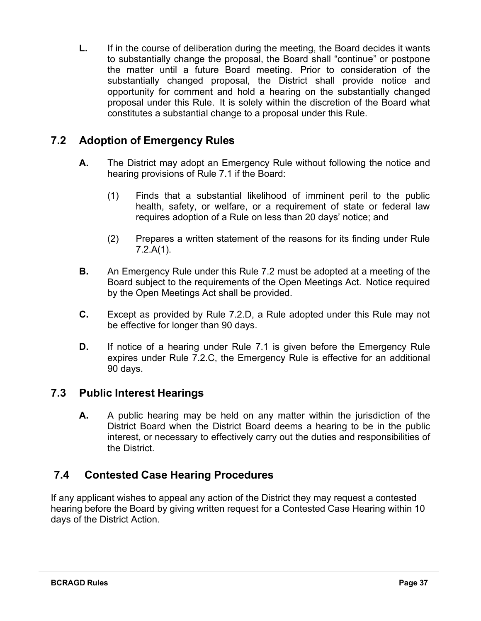**L.** If in the course of deliberation during the meeting, the Board decides it wants to substantially change the proposal, the Board shall "continue" or postpone the matter until a future Board meeting. Prior to consideration of the substantially changed proposal, the District shall provide notice and opportunity for comment and hold a hearing on the substantially changed proposal under this Rule. It is solely within the discretion of the Board what constitutes a substantial change to a proposal under this Rule.

#### <span id="page-37-0"></span>**7.2 Adoption of Emergency Rules**

- **A.** The District may adopt an Emergency Rule without following the notice and hearing provisions of Rule 7.1 if the Board:
	- (1) Finds that a substantial likelihood of imminent peril to the public health, safety, or welfare, or a requirement of state or federal law requires adoption of a Rule on less than 20 days' notice; and
	- (2) Prepares a written statement of the reasons for its finding under Rule 7.2.A(1).
- **B.** An Emergency Rule under this Rule 7.2 must be adopted at a meeting of the Board subject to the requirements of the Open Meetings Act. Notice required by the Open Meetings Act shall be provided.
- **C.** Except as provided by Rule 7.2.D, a Rule adopted under this Rule may not be effective for longer than 90 days.
- **D.** If notice of a hearing under Rule 7.1 is given before the Emergency Rule expires under Rule 7.2.C, the Emergency Rule is effective for an additional 90 days.

#### **7.3 Public Interest Hearings**

**A.** A public hearing may be held on any matter within the jurisdiction of the District Board when the District Board deems a hearing to be in the public interest, or necessary to effectively carry out the duties and responsibilities of the District.

#### **7.4 Contested Case Hearing Procedures**

If any applicant wishes to appeal any action of the District they may request a contested hearing before the Board by giving written request for a Contested Case Hearing within 10 days of the District Action.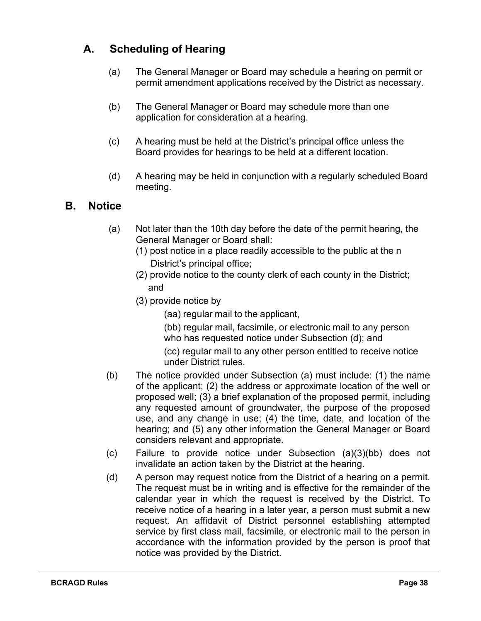#### **A. Scheduling of Hearing**

- (a) The General Manager or Board may schedule a hearing on permit or permit amendment applications received by the District as necessary.
- (b) The General Manager or Board may schedule more than one application for consideration at a hearing.
- (c) A hearing must be held at the District's principal office unless the Board provides for hearings to be held at a different location.
- (d) A hearing may be held in conjunction with a regularly scheduled Board meeting.

#### **B. Notice**

- (a) Not later than the 10th day before the date of the permit hearing, the General Manager or Board shall:
	- (1) post notice in a place readily accessible to the public at the n District's principal office;
	- (2) provide notice to the county clerk of each county in the District; and
	- (3) provide notice by
		- (aa) regular mail to the applicant,
		- (bb) regular mail, facsimile, or electronic mail to any person who has requested notice under Subsection (d); and
		- (cc) regular mail to any other person entitled to receive notice under District rules.
- (b) The notice provided under Subsection (a) must include: (1) the name of the applicant; (2) the address or approximate location of the well or proposed well; (3) a brief explanation of the proposed permit, including any requested amount of groundwater, the purpose of the proposed use, and any change in use; (4) the time, date, and location of the hearing; and (5) any other information the General Manager or Board considers relevant and appropriate.
- (c) Failure to provide notice under Subsection (a)(3)(bb) does not invalidate an action taken by the District at the hearing.
- (d) A person may request notice from the District of a hearing on a permit. The request must be in writing and is effective for the remainder of the calendar year in which the request is received by the District. To receive notice of a hearing in a later year, a person must submit a new request. An affidavit of District personnel establishing attempted service by first class mail, facsimile, or electronic mail to the person in accordance with the information provided by the person is proof that notice was provided by the District.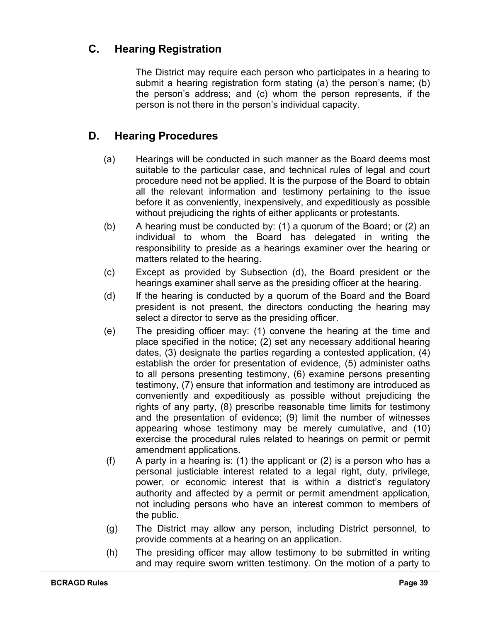#### **C. Hearing Registration**

The District may require each person who participates in a hearing to submit a hearing registration form stating (a) the person's name; (b) the person's address; and (c) whom the person represents, if the person is not there in the person's individual capacity.

#### **D. Hearing Procedures**

- (a) Hearings will be conducted in such manner as the Board deems most suitable to the particular case, and technical rules of legal and court procedure need not be applied. It is the purpose of the Board to obtain all the relevant information and testimony pertaining to the issue before it as conveniently, inexpensively, and expeditiously as possible without prejudicing the rights of either applicants or protestants.
- (b) A hearing must be conducted by: (1) a quorum of the Board; or (2) an individual to whom the Board has delegated in writing the responsibility to preside as a hearings examiner over the hearing or matters related to the hearing.
- (c) Except as provided by Subsection (d), the Board president or the hearings examiner shall serve as the presiding officer at the hearing.
- (d) If the hearing is conducted by a quorum of the Board and the Board president is not present, the directors conducting the hearing may select a director to serve as the presiding officer.
- (e) The presiding officer may: (1) convene the hearing at the time and place specified in the notice; (2) set any necessary additional hearing dates, (3) designate the parties regarding a contested application, (4) establish the order for presentation of evidence, (5) administer oaths to all persons presenting testimony, (6) examine persons presenting testimony, (7) ensure that information and testimony are introduced as conveniently and expeditiously as possible without prejudicing the rights of any party, (8) prescribe reasonable time limits for testimony and the presentation of evidence; (9) limit the number of witnesses appearing whose testimony may be merely cumulative, and (10) exercise the procedural rules related to hearings on permit or permit amendment applications.
- (f) A party in a hearing is: (1) the applicant or (2) is a person who has a personal justiciable interest related to a legal right, duty, privilege, power, or economic interest that is within a district's regulatory authority and affected by a permit or permit amendment application, not including persons who have an interest common to members of the public.
- (g) The District may allow any person, including District personnel, to provide comments at a hearing on an application.
- (h) The presiding officer may allow testimony to be submitted in writing and may require sworn written testimony. On the motion of a party to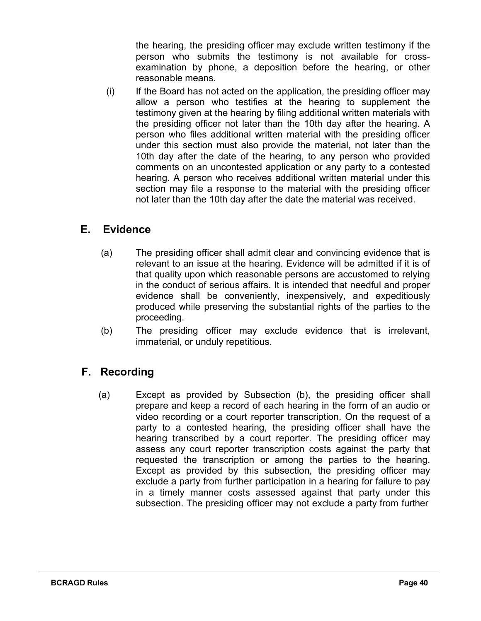the hearing, the presiding officer may exclude written testimony if the person who submits the testimony is not available for crossexamination by phone, a deposition before the hearing, or other reasonable means.

(i) If the Board has not acted on the application, the presiding officer may allow a person who testifies at the hearing to supplement the testimony given at the hearing by filing additional written materials with the presiding officer not later than the 10th day after the hearing. A person who files additional written material with the presiding officer under this section must also provide the material, not later than the 10th day after the date of the hearing, to any person who provided comments on an uncontested application or any party to a contested hearing. A person who receives additional written material under this section may file a response to the material with the presiding officer not later than the 10th day after the date the material was received.

#### **E. Evidence**

- (a) The presiding officer shall admit clear and convincing evidence that is relevant to an issue at the hearing. Evidence will be admitted if it is of that quality upon which reasonable persons are accustomed to relying in the conduct of serious affairs. It is intended that needful and proper evidence shall be conveniently, inexpensively, and expeditiously produced while preserving the substantial rights of the parties to the proceeding.
- (b) The presiding officer may exclude evidence that is irrelevant, immaterial, or unduly repetitious.

#### **F. Recording**

(a) Except as provided by Subsection (b), the presiding officer shall prepare and keep a record of each hearing in the form of an audio or video recording or a court reporter transcription. On the request of a party to a contested hearing, the presiding officer shall have the hearing transcribed by a court reporter. The presiding officer may assess any court reporter transcription costs against the party that requested the transcription or among the parties to the hearing. Except as provided by this subsection, the presiding officer may exclude a party from further participation in a hearing for failure to pay in a timely manner costs assessed against that party under this subsection. The presiding officer may not exclude a party from further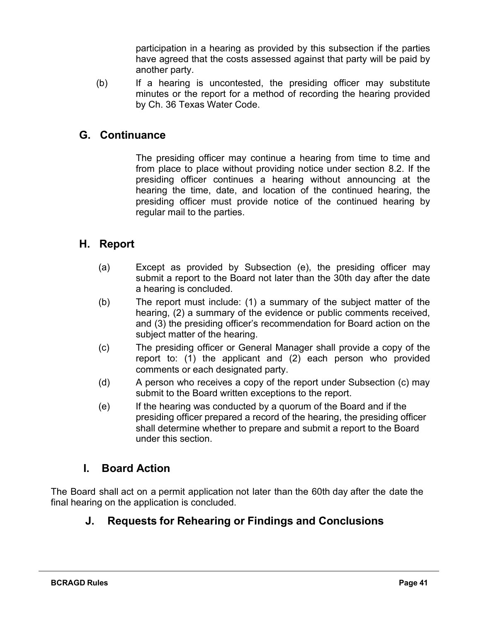participation in a hearing as provided by this subsection if the parties have agreed that the costs assessed against that party will be paid by another party.

(b) If a hearing is uncontested, the presiding officer may substitute minutes or the report for a method of recording the hearing provided by Ch. 36 Texas Water Code.

#### **G. Continuance**

The presiding officer may continue a hearing from time to time and from place to place without providing notice under section 8.2. If the presiding officer continues a hearing without announcing at the hearing the time, date, and location of the continued hearing, the presiding officer must provide notice of the continued hearing by regular mail to the parties.

#### **H. Report**

- (a) Except as provided by Subsection (e), the presiding officer may submit a report to the Board not later than the 30th day after the date a hearing is concluded.
- (b) The report must include: (1) a summary of the subject matter of the hearing, (2) a summary of the evidence or public comments received, and (3) the presiding officer's recommendation for Board action on the subject matter of the hearing.
- (c) The presiding officer or General Manager shall provide a copy of the report to: (1) the applicant and (2) each person who provided comments or each designated party.
- (d) A person who receives a copy of the report under Subsection (c) may submit to the Board written exceptions to the report.
- (e) If the hearing was conducted by a quorum of the Board and if the presiding officer prepared a record of the hearing, the presiding officer shall determine whether to prepare and submit a report to the Board under this section.

#### **I. Board Action**

The Board shall act on a permit application not later than the 60th day after the date the final hearing on the application is concluded.

#### **J. Requests for Rehearing or Findings and Conclusions**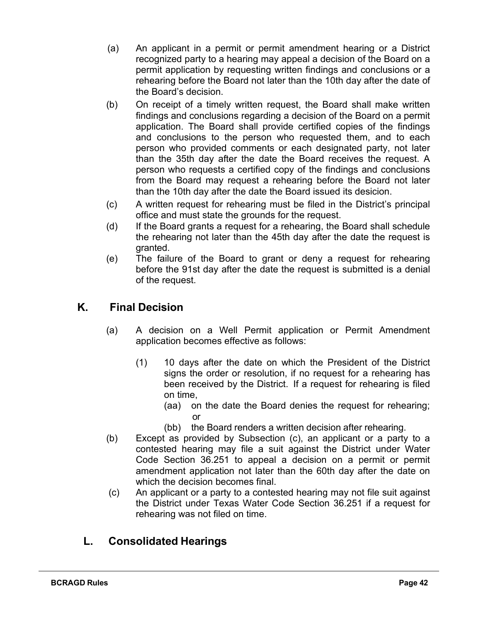- (a) An applicant in a permit or permit amendment hearing or a District recognized party to a hearing may appeal a decision of the Board on a permit application by requesting written findings and conclusions or a rehearing before the Board not later than the 10th day after the date of the Board's decision.
- (b) On receipt of a timely written request, the Board shall make written findings and conclusions regarding a decision of the Board on a permit application. The Board shall provide certified copies of the findings and conclusions to the person who requested them, and to each person who provided comments or each designated party, not later than the 35th day after the date the Board receives the request. A person who requests a certified copy of the findings and conclusions from the Board may request a rehearing before the Board not later than the 10th day after the date the Board issued its desicion.
- (c) A written request for rehearing must be filed in the District's principal office and must state the grounds for the request.
- (d) If the Board grants a request for a rehearing, the Board shall schedule the rehearing not later than the 45th day after the date the request is granted.
- (e) The failure of the Board to grant or deny a request for rehearing before the 91st day after the date the request is submitted is a denial of the request.

## **K. Final Decision**

- (a) A decision on a Well Permit application or Permit Amendment application becomes effective as follows:
	- (1) 10 days after the date on which the President of the District signs the order or resolution, if no request for a rehearing has been received by the District. If a request for rehearing is filed on time,
		- (aa) on the date the Board denies the request for rehearing; or
		- (bb) the Board renders a written decision after rehearing.
- (b) Except as provided by Subsection (c), an applicant or a party to a contested hearing may file a suit against the District under Water Code Section 36.251 to appeal a decision on a permit or permit amendment application not later than the 60th day after the date on which the decision becomes final.
- (c) An applicant or a party to a contested hearing may not file suit against the District under Texas Water Code Section 36.251 if a request for rehearing was not filed on time.

#### **L. Consolidated Hearings**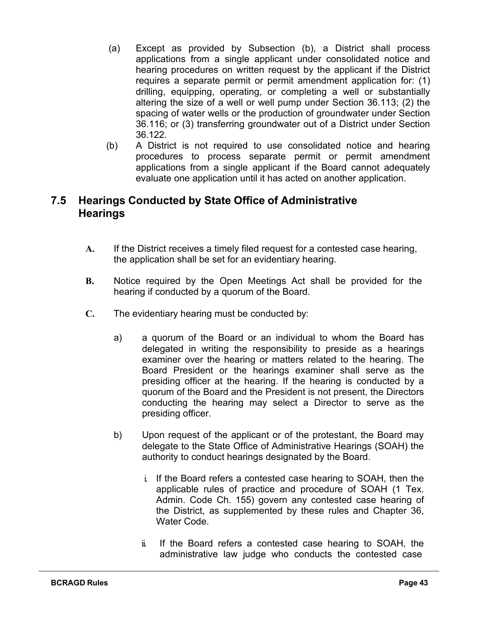- (a) Except as provided by Subsection (b), a District shall process applications from a single applicant under consolidated notice and hearing procedures on written request by the applicant if the District requires a separate permit or permit amendment application for: (1) drilling, equipping, operating, or completing a well or substantially altering the size of a well or well pump under Section 36.113; (2) the spacing of water wells or the production of groundwater under Section 36.116; or (3) transferring groundwater out of a District under Section 36.122.
- (b) A District is not required to use consolidated notice and hearing procedures to process separate permit or permit amendment applications from a single applicant if the Board cannot adequately evaluate one application until it has acted on another application.

#### **7.5 Hearings Conducted by State Office of Administrative Hearings**

- **A.** If the District receives a timely filed request for a contested case hearing, the application shall be set for an evidentiary hearing.
- **B.** Notice required by the Open Meetings Act shall be provided for the hearing if conducted by a quorum of the Board.
- **C.** The evidentiary hearing must be conducted by:
	- a) a quorum of the Board or an individual to whom the Board has delegated in writing the responsibility to preside as a hearings examiner over the hearing or matters related to the hearing. The Board President or the hearings examiner shall serve as the presiding officer at the hearing. If the hearing is conducted by a quorum of the Board and the President is not present, the Directors conducting the hearing may select a Director to serve as the presiding officer.
	- b) Upon request of the applicant or of the protestant, the Board may delegate to the State Office of Administrative Hearings (SOAH) the authority to conduct hearings designated by the Board.
		- i. If the Board refers a contested case hearing to SOAH, then the applicable rules of practice and procedure of SOAH (1 Tex. Admin. Code Ch. 155) govern any contested case hearing of the District, as supplemented by these rules and Chapter 36, Water Code.
		- ii. If the Board refers a contested case hearing to SOAH, the administrative law judge who conducts the contested case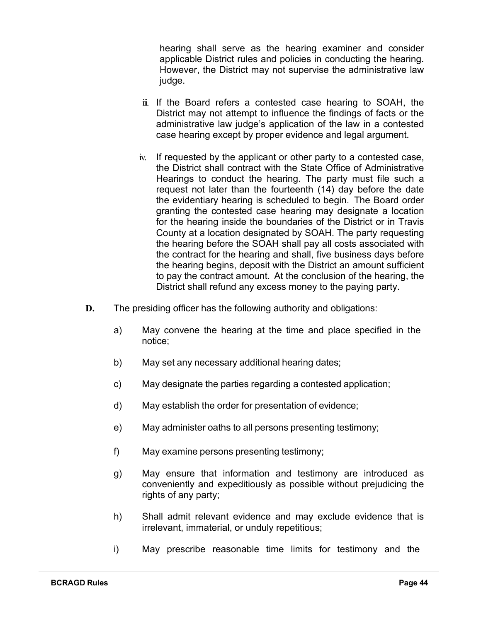hearing shall serve as the hearing examiner and consider applicable District rules and policies in conducting the hearing. However, the District may not supervise the administrative law judge.

- iii. If the Board refers a contested case hearing to SOAH, the District may not attempt to influence the findings of facts or the administrative law judge's application of the law in a contested case hearing except by proper evidence and legal argument.
- iv. If requested by the applicant or other party to a contested case, the District shall contract with the State Office of Administrative Hearings to conduct the hearing. The party must file such a request not later than the fourteenth (14) day before the date the evidentiary hearing is scheduled to begin. The Board order granting the contested case hearing may designate a location for the hearing inside the boundaries of the District or in Travis County at a location designated by SOAH. The party requesting the hearing before the SOAH shall pay all costs associated with the contract for the hearing and shall, five business days before the hearing begins, deposit with the District an amount sufficient to pay the contract amount. At the conclusion of the hearing, the District shall refund any excess money to the paying party.
- **D.** The presiding officer has the following authority and obligations:
	- a) May convene the hearing at the time and place specified in the notice;
	- b) May set any necessary additional hearing dates;
	- c) May designate the parties regarding a contested application;
	- d) May establish the order for presentation of evidence;
	- e) May administer oaths to all persons presenting testimony;
	- f) May examine persons presenting testimony;
	- g) May ensure that information and testimony are introduced as conveniently and expeditiously as possible without prejudicing the rights of any party;
	- h) Shall admit relevant evidence and may exclude evidence that is irrelevant, immaterial, or unduly repetitious;
	- i) May prescribe reasonable time limits for testimony and the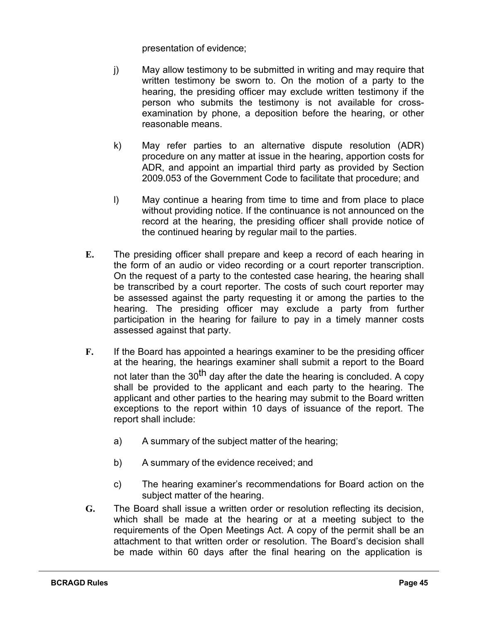presentation of evidence;

- j) May allow testimony to be submitted in writing and may require that written testimony be sworn to. On the motion of a party to the hearing, the presiding officer may exclude written testimony if the person who submits the testimony is not available for crossexamination by phone, a deposition before the hearing, or other reasonable means.
- k) May refer parties to an alternative dispute resolution (ADR) procedure on any matter at issue in the hearing, apportion costs for ADR, and appoint an impartial third party as provided by Section 2009.053 of the Government Code to facilitate that procedure; and
- l) May continue a hearing from time to time and from place to place without providing notice. If the continuance is not announced on the record at the hearing, the presiding officer shall provide notice of the continued hearing by regular mail to the parties.
- **E.** The presiding officer shall prepare and keep a record of each hearing in the form of an audio or video recording or a court reporter transcription. On the request of a party to the contested case hearing, the hearing shall be transcribed by a court reporter. The costs of such court reporter may be assessed against the party requesting it or among the parties to the hearing. The presiding officer may exclude a party from further participation in the hearing for failure to pay in a timely manner costs assessed against that party.
- **F.** If the Board has appointed a hearings examiner to be the presiding officer at the hearing, the hearings examiner shall submit a report to the Board not later than the  $30<sup>th</sup>$  day after the date the hearing is concluded. A copy shall be provided to the applicant and each party to the hearing. The applicant and other parties to the hearing may submit to the Board written exceptions to the report within 10 days of issuance of the report. The report shall include:
	- a) A summary of the subject matter of the hearing;
	- b) A summary of the evidence received; and
	- c) The hearing examiner's recommendations for Board action on the subject matter of the hearing.
- **G.** The Board shall issue a written order or resolution reflecting its decision, which shall be made at the hearing or at a meeting subject to the requirements of the Open Meetings Act. A copy of the permit shall be an attachment to that written order or resolution. The Board's decision shall be made within 60 days after the final hearing on the application is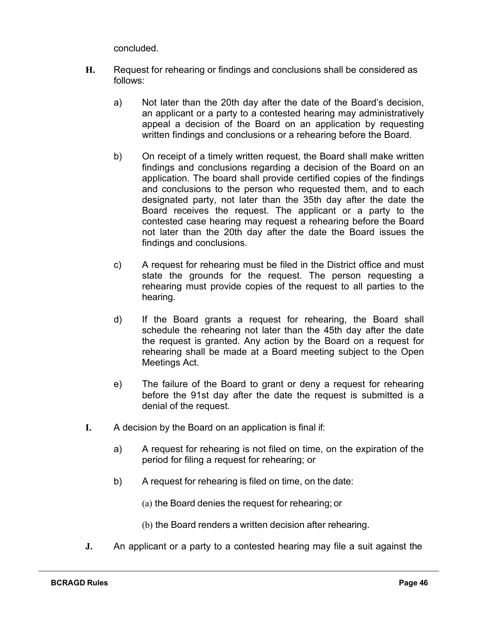concluded.

- **H.** Request for rehearing or findings and conclusions shall be considered as follows:
	- a) Not later than the 20th day after the date of the Board's decision, an applicant or a party to a contested hearing may administratively appeal a decision of the Board on an application by requesting written findings and conclusions or a rehearing before the Board.
	- b) On receipt of a timely written request, the Board shall make written findings and conclusions regarding a decision of the Board on an application. The board shall provide certified copies of the findings and conclusions to the person who requested them, and to each designated party, not later than the 35th day after the date the Board receives the request. The applicant or a party to the contested case hearing may request a rehearing before the Board not later than the 20th day after the date the Board issues the findings and conclusions.
	- c) A request for rehearing must be filed in the District office and must state the grounds for the request. The person requesting a rehearing must provide copies of the request to all parties to the hearing.
	- d) If the Board grants a request for rehearing, the Board shall schedule the rehearing not later than the 45th day after the date the request is granted. Any action by the Board on a request for rehearing shall be made at a Board meeting subject to the Open Meetings Act.
	- e) The failure of the Board to grant or deny a request for rehearing before the 91st day after the date the request is submitted is a denial of the request.
- **I.** A decision by the Board on an application is final if:
	- a) A request for rehearing is not filed on time, on the expiration of the period for filing a request for rehearing; or
	- b) A request for rehearing is filed on time, on the date:
		- (a) the Board denies the request for rehearing; or
		- (b) the Board renders a written decision after rehearing.
- **J.** An applicant or a party to a contested hearing may file a suit against the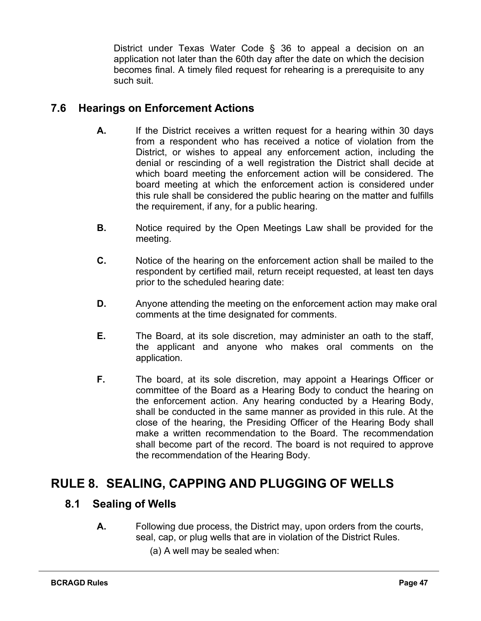<span id="page-47-0"></span>District under Texas Water Code § 36 to appeal a decision on an application not later than the 60th day after the date on which the decision becomes final. A timely filed request for rehearing is a prerequisite to any such suit.

#### <span id="page-47-1"></span>**7.6 Hearings on Enforcement Actions**

- **A.** If the District receives a written request for a hearing within 30 days from a respondent who has received a notice of violation from the District, or wishes to appeal any enforcement action, including the denial or rescinding of a well registration the District shall decide at which board meeting the enforcement action will be considered. The board meeting at which the enforcement action is considered under this rule shall be considered the public hearing on the matter and fulfills the requirement, if any, for a public hearing.
- **B.** Notice required by the Open Meetings Law shall be provided for the meeting.
- **C.** Notice of the hearing on the enforcement action shall be mailed to the respondent by certified mail, return receipt requested, at least ten days prior to the scheduled hearing date:
- **D.** Anyone attending the meeting on the enforcement action may make oral comments at the time designated for comments.
- **E.** The Board, at its sole discretion, may administer an oath to the staff, the applicant and anyone who makes oral comments on the application.
- **F.** The board, at its sole discretion, may appoint a Hearings Officer or committee of the Board as a Hearing Body to conduct the hearing on the enforcement action. Any hearing conducted by a Hearing Body, shall be conducted in the same manner as provided in this rule. At the close of the hearing, the Presiding Officer of the Hearing Body shall make a written recommendation to the Board. The recommendation shall become part of the record. The board is not required to approve the recommendation of the Hearing Body.

# <span id="page-47-3"></span><span id="page-47-2"></span>**RULE 8. SEALING, CAPPING AND PLUGGING OF WELLS**

#### **8.1 Sealing of Wells**

- **A.** Following due process, the District may, upon orders from the courts, seal, cap, or plug wells that are in violation of the District Rules.
	- (a) A well may be sealed when: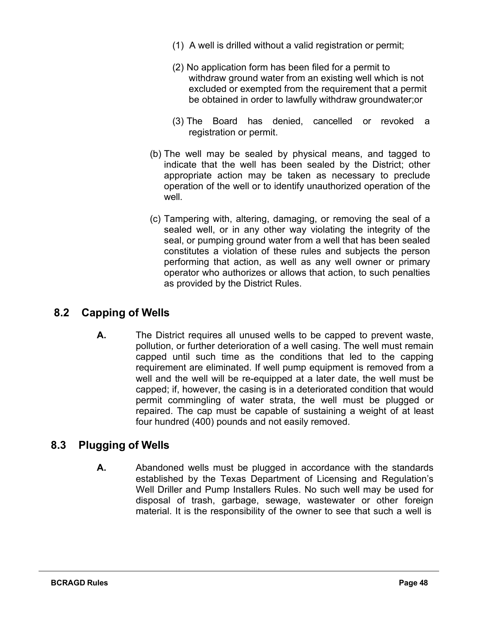- (1) A well is drilled without a valid registration or permit;
- (2) No application form has been filed for a permit to withdraw ground water from an existing well which is not excluded or exempted from the requirement that a permit be obtained in order to lawfully withdraw groundwater;or
- (3) The Board has denied, cancelled or revoked a registration or permit.
- (b) The well may be sealed by physical means, and tagged to indicate that the well has been sealed by the District; other appropriate action may be taken as necessary to preclude operation of the well or to identify unauthorized operation of the well.
- (c) Tampering with, altering, damaging, or removing the seal of a sealed well, or in any other way violating the integrity of the seal, or pumping ground water from a well that has been sealed constitutes a violation of these rules and subjects the person performing that action, as well as any well owner or primary operator who authorizes or allows that action, to such penalties as provided by the District Rules.

#### <span id="page-48-0"></span>**8.2 Capping of Wells**

**A.** The District requires all unused wells to be capped to prevent waste, pollution, or further deterioration of a well casing. The well must remain capped until such time as the conditions that led to the capping requirement are eliminated. If well pump equipment is removed from a well and the well will be re-equipped at a later date, the well must be capped; if, however, the casing is in a deteriorated condition that would permit commingling of water strata, the well must be plugged or repaired. The cap must be capable of sustaining a weight of at least four hundred (400) pounds and not easily removed.

#### <span id="page-48-1"></span>**8.3 Plugging of Wells**

**A.** Abandoned wells must be plugged in accordance with the standards established by the Texas Department of Licensing and Regulation's Well Driller and Pump Installers Rules. No such well may be used for disposal of trash, garbage, sewage, wastewater or other foreign material. It is the responsibility of the owner to see that such a well is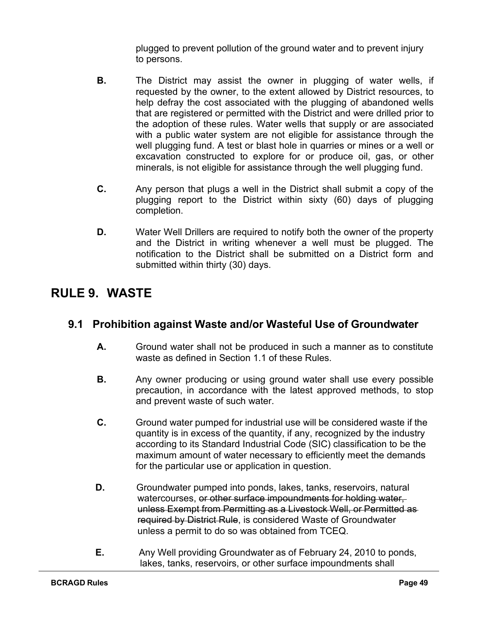plugged to prevent pollution of the ground water and to prevent injury to persons.

- **B.** The District may assist the owner in plugging of water wells, if requested by the owner, to the extent allowed by District resources, to help defray the cost associated with the plugging of abandoned wells that are registered or permitted with the District and were drilled prior to the adoption of these rules. Water wells that supply or are associated with a public water system are not eligible for assistance through the well plugging fund. A test or blast hole in quarries or mines or a well or excavation constructed to explore for or produce oil, gas, or other minerals, is not eligible for assistance through the well plugging fund.
- **C.** Any person that plugs a well in the District shall submit a copy of the plugging report to the District within sixty (60) days of plugging completion.
- **D.** Water Well Drillers are required to notify both the owner of the property and the District in writing whenever a well must be plugged. The notification to the District shall be submitted on a District form and submitted within thirty (30) days.

# <span id="page-49-0"></span>**RULE 9. WASTE**

#### <span id="page-49-1"></span>**9.1 Prohibition against Waste and/or Wasteful Use of Groundwater**

- **A.** Ground water shall not be produced in such a manner as to constitute waste as defined in Section 1.1 of these Rules.
- **B.** Any owner producing or using ground water shall use every possible precaution, in accordance with the latest approved methods, to stop and prevent waste of such water.
- **C.** Ground water pumped for industrial use will be considered waste if the quantity is in excess of the quantity, if any, recognized by the industry according to its Standard Industrial Code (SIC) classification to be the maximum amount of water necessary to efficiently meet the demands for the particular use or application in question.
- **D.** Groundwater pumped into ponds, lakes, tanks, reservoirs, natural watercourses, or other surface impoundments for holding water, unless Exempt from Permitting as a Livestock Well, or Permitted as required by District Rule, is considered Waste of Groundwater unless a permit to do so was obtained from TCEQ.
- **E.** Any Well providing Groundwater as of February 24, 2010 to ponds, lakes, tanks, reservoirs, or other surface impoundments shall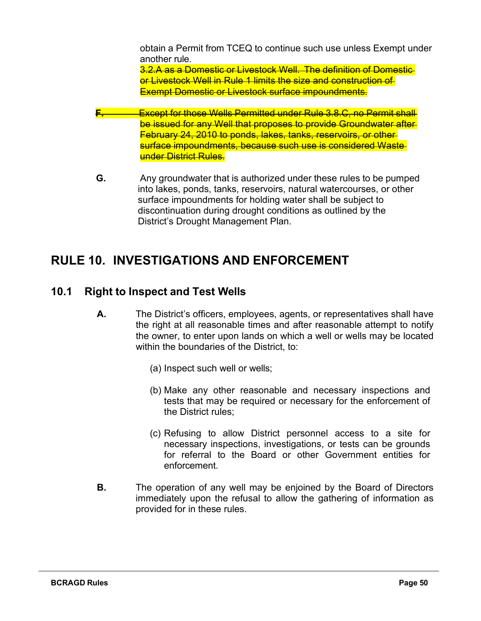obtain a Permit from TCEQ to continue such use unless Exempt under another rule. 3.2.A as a Domestic or Livestock Well. The definition of Domestic or Livestock Well in Rule 1 limits the size and construction of Exempt Domestic or Livestock surface impoundments.

- **F.** Except for those Wells Permitted under Rule 3.8.C, no Permit shall be issued for any Well that proposes to provide Groundwater after February 24, 2010 to ponds, lakes, tanks, reservoirs, or other surface impoundments, because such use is considered Waste under District Rules.
- **G.** Any groundwater that is authorized under these rules to be pumped into lakes, ponds, tanks, reservoirs, natural watercourses, or other surface impoundments for holding water shall be subject to discontinuation during drought conditions as outlined by the District's Drought Management Plan.

# <span id="page-50-0"></span>**RULE 10. INVESTIGATIONS AND ENFORCEMENT**

#### <span id="page-50-1"></span>**10.1 Right to Inspect and Test Wells**

- **A.** The District's officers, employees, agents, or representatives shall have the right at all reasonable times and after reasonable attempt to notify the owner, to enter upon lands on which a well or wells may be located within the boundaries of the District, to:
	- (a) Inspect such well or wells;
	- (b) Make any other reasonable and necessary inspections and tests that may be required or necessary for the enforcement of the District rules;
	- (c) Refusing to allow District personnel access to a site for necessary inspections, investigations, or tests can be grounds for referral to the Board or other Government entities for enforcement.
- **B.** The operation of any well may be enjoined by the Board of Directors immediately upon the refusal to allow the gathering of information as provided for in these rules.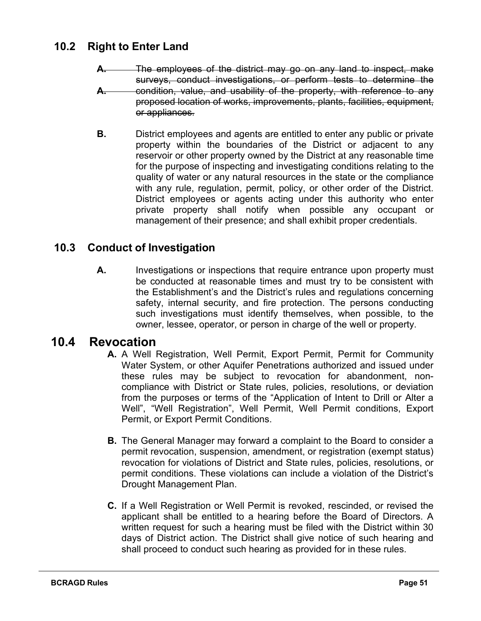#### <span id="page-51-0"></span>**10.2 Right to Enter Land**

- **A.** The employees of the district may go on any land to inspect, make surveys, conduct investigations, or perform tests to determine the **A.** condition, value, and usability of the property, with reference to any proposed location of works, improvements, plants, facilities, equipment, or appliances.
- **B.** District employees and agents are entitled to enter any public or private property within the boundaries of the District or adjacent to any reservoir or other property owned by the District at any reasonable time for the purpose of inspecting and investigating conditions relating to the quality of water or any natural resources in the state or the compliance with any rule, regulation, permit, policy, or other order of the District. District employees or agents acting under this authority who enter private property shall notify when possible any occupant or management of their presence; and shall exhibit proper credentials.

#### <span id="page-51-1"></span>**10.3 Conduct of Investigation**

**A.** Investigations or inspections that require entrance upon property must be conducted at reasonable times and must try to be consistent with the Establishment's and the District's rules and regulations concerning safety, internal security, and fire protection. The persons conducting such investigations must identify themselves, when possible, to the owner, lessee, operator, or person in charge of the well or property.

#### <span id="page-51-2"></span>**10.4 Revocation**

- **A.** A Well Registration, Well Permit, Export Permit, Permit for Community Water System, or other Aquifer Penetrations authorized and issued under these rules may be subject to revocation for abandonment, noncompliance with District or State rules, policies, resolutions, or deviation from the purposes or terms of the "Application of Intent to Drill or Alter a Well", "Well Registration", Well Permit, Well Permit conditions, Export Permit, or Export Permit Conditions.
- **B.** The General Manager may forward a complaint to the Board to consider a permit revocation, suspension, amendment, or registration (exempt status) revocation for violations of District and State rules, policies, resolutions, or permit conditions. These violations can include a violation of the District's Drought Management Plan.
- **C.** If a Well Registration or Well Permit is revoked, rescinded, or revised the applicant shall be entitled to a hearing before the Board of Directors. A written request for such a hearing must be filed with the District within 30 days of District action. The District shall give notice of such hearing and shall proceed to conduct such hearing as provided for in these rules.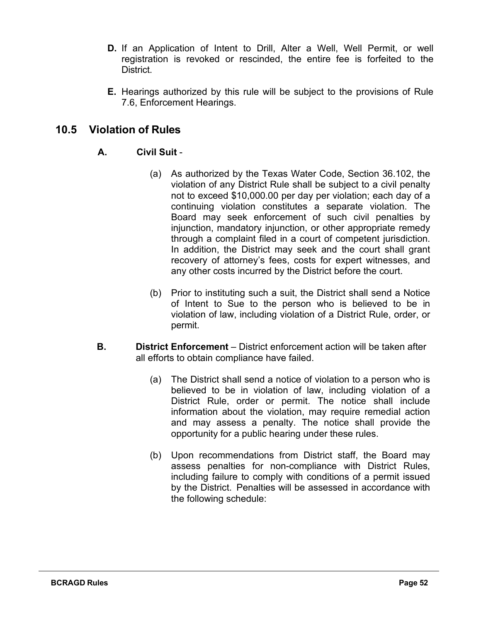- **D.** If an Application of Intent to Drill, Alter a Well, Well Permit, or well registration is revoked or rescinded, the entire fee is forfeited to the District.
- **E.** Hearings authorized by this rule will be subject to the provisions of Rule 7.6, Enforcement Hearings.

#### <span id="page-52-0"></span>**10.5 Violation of Rules**

#### **A. Civil Suit** -

- (a) As authorized by the Texas Water Code, Section 36.102, the violation of any District Rule shall be subject to a civil penalty not to exceed \$10,000.00 per day per violation; each day of a continuing violation constitutes a separate violation. The Board may seek enforcement of such civil penalties by injunction, mandatory injunction, or other appropriate remedy through a complaint filed in a court of competent jurisdiction. In addition, the District may seek and the court shall grant recovery of attorney's fees, costs for expert witnesses, and any other costs incurred by the District before the court.
- (b) Prior to instituting such a suit, the District shall send a Notice of Intent to Sue to the person who is believed to be in violation of law, including violation of a District Rule, order, or permit.
- **B. District Enforcement**  District enforcement action will be taken after all efforts to obtain compliance have failed.
	- (a) The District shall send a notice of violation to a person who is believed to be in violation of law, including violation of a District Rule, order or permit. The notice shall include information about the violation, may require remedial action and may assess a penalty. The notice shall provide the opportunity for a public hearing under these rules.
	- (b) Upon recommendations from District staff, the Board may assess penalties for non-compliance with District Rules, including failure to comply with conditions of a permit issued by the District. Penalties will be assessed in accordance with the following schedule: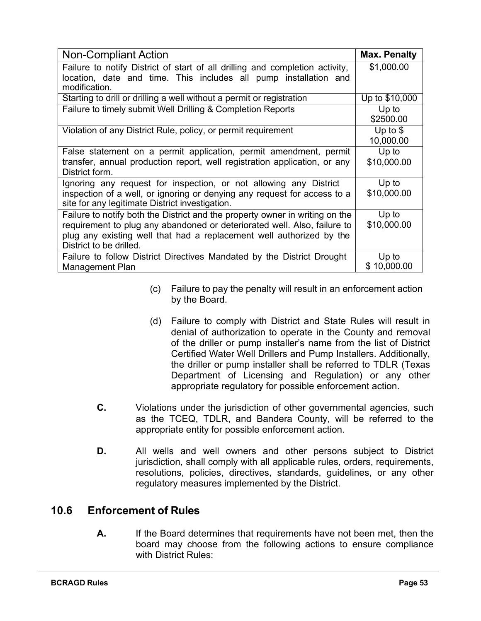| <b>Non-Compliant Action</b>                                                                                                 | <b>Max. Penalty</b>    |
|-----------------------------------------------------------------------------------------------------------------------------|------------------------|
| Failure to notify District of start of all drilling and completion activity,                                                | \$1,000.00             |
| location, date and time. This includes all pump installation and<br>modification.                                           |                        |
| Starting to drill or drilling a well without a permit or registration                                                       | Up to \$10,000         |
| Failure to timely submit Well Drilling & Completion Reports                                                                 | Up to<br>\$2500.00     |
| Violation of any District Rule, policy, or permit requirement                                                               | Up to $$$<br>10,000.00 |
| False statement on a permit application, permit amendment, permit                                                           | Up to                  |
| transfer, annual production report, well registration application, or any<br>District form.                                 | \$10,000.00            |
| Ignoring any request for inspection, or not allowing any District                                                           | Up to                  |
| inspection of a well, or ignoring or denying any request for access to a<br>site for any legitimate District investigation. | \$10,000.00            |
| Failure to notify both the District and the property owner in writing on the                                                | Up to                  |
| requirement to plug any abandoned or deteriorated well. Also, failure to                                                    | \$10,000.00            |
| plug any existing well that had a replacement well authorized by the<br>District to be drilled.                             |                        |
| Failure to follow District Directives Mandated by the District Drought                                                      | Up to                  |
| Management Plan                                                                                                             | \$10,000.00            |

- (c) Failure to pay the penalty will result in an enforcement action by the Board.
- (d) Failure to comply with District and State Rules will result in denial of authorization to operate in the County and removal of the driller or pump installer's name from the list of District Certified Water Well Drillers and Pump Installers. Additionally, the driller or pump installer shall be referred to TDLR (Texas Department of Licensing and Regulation) or any other appropriate regulatory for possible enforcement action.
- **C.** Violations under the jurisdiction of other governmental agencies, such as the TCEQ, TDLR, and Bandera County, will be referred to the appropriate entity for possible enforcement action.
- **D.** All wells and well owners and other persons subject to District jurisdiction, shall comply with all applicable rules, orders, requirements, resolutions, policies, directives, standards, guidelines, or any other regulatory measures implemented by the District.

#### <span id="page-53-0"></span>**10.6 Enforcement of Rules**

**A.** If the Board determines that requirements have not been met, then the board may choose from the following actions to ensure compliance with District Rules: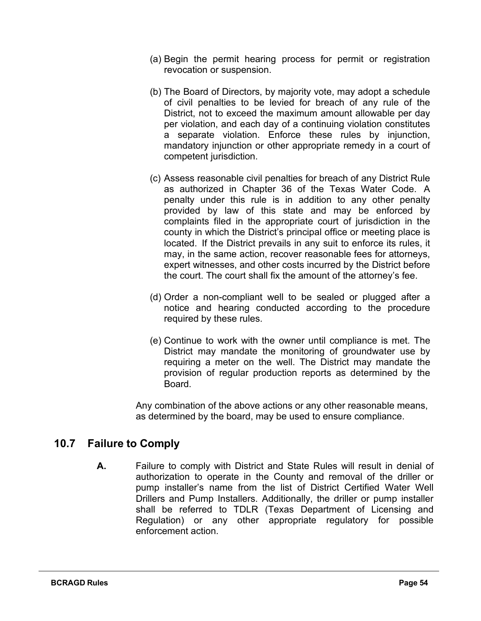- (a) Begin the permit hearing process for permit or registration revocation or suspension.
- (b) The Board of Directors, by majority vote, may adopt a schedule of civil penalties to be levied for breach of any rule of the District, not to exceed the maximum amount allowable per day per violation, and each day of a continuing violation constitutes a separate violation. Enforce these rules by injunction, mandatory injunction or other appropriate remedy in a court of competent jurisdiction.
- (c) Assess reasonable civil penalties for breach of any District Rule as authorized in Chapter 36 of the Texas Water Code. A penalty under this rule is in addition to any other penalty provided by law of this state and may be enforced by complaints filed in the appropriate court of jurisdiction in the county in which the District's principal office or meeting place is located. If the District prevails in any suit to enforce its rules, it may, in the same action, recover reasonable fees for attorneys, expert witnesses, and other costs incurred by the District before the court. The court shall fix the amount of the attorney's fee.
- (d) Order a non-compliant well to be sealed or plugged after a notice and hearing conducted according to the procedure required by these rules.
- (e) Continue to work with the owner until compliance is met. The District may mandate the monitoring of groundwater use by requiring a meter on the well. The District may mandate the provision of regular production reports as determined by the Board.

Any combination of the above actions or any other reasonable means, as determined by the board, may be used to ensure compliance.

#### <span id="page-54-0"></span>**10.7 Failure to Comply**

**A.** Failure to comply with District and State Rules will result in denial of authorization to operate in the County and removal of the driller or pump installer's name from the list of District Certified Water Well Drillers and Pump Installers. Additionally, the driller or pump installer shall be referred to TDLR (Texas Department of Licensing and Regulation) or any other appropriate regulatory for possible enforcement action.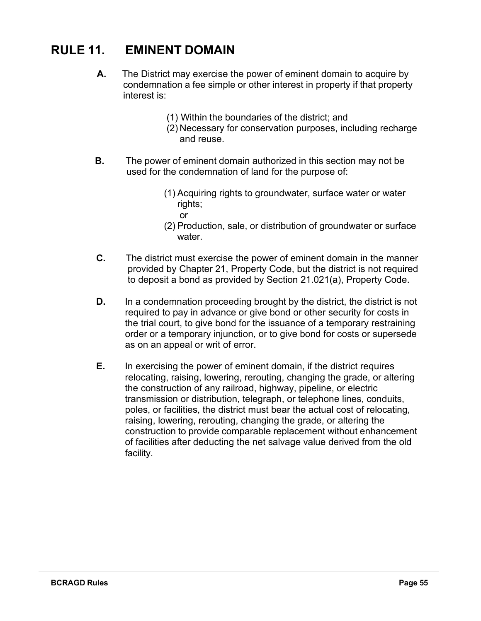# **RULE 11. EMINENT DOMAIN**

- **A.** The District may exercise the power of eminent domain to acquire by condemnation a fee simple or other interest in property if that property interest is:
	- (1) Within the boundaries of the district; and
	- (2) Necessary for conservation purposes, including recharge and reuse.
- **B.** The power of eminent domain authorized in this section may not be used for the condemnation of land for the purpose of:
	- (1) Acquiring rights to groundwater, surface water or water rights;
		- or
	- (2) Production, sale, or distribution of groundwater or surface water.
- **C.** The district must exercise the power of eminent domain in the manner provided by Chapter 21, Property Code, but the district is not required to deposit a bond as provided by Section 21.021(a), Property Code.
- **D.** In a condemnation proceeding brought by the district, the district is not required to pay in advance or give bond or other security for costs in the trial court, to give bond for the issuance of a temporary restraining order or a temporary injunction, or to give bond for costs or supersede as on an appeal or writ of error.
- **E.** In exercising the power of eminent domain, if the district requires relocating, raising, lowering, rerouting, changing the grade, or altering the construction of any railroad, highway, pipeline, or electric transmission or distribution, telegraph, or telephone lines, conduits, poles, or facilities, the district must bear the actual cost of relocating, raising, lowering, rerouting, changing the grade, or altering the construction to provide comparable replacement without enhancement of facilities after deducting the net salvage value derived from the old facility.